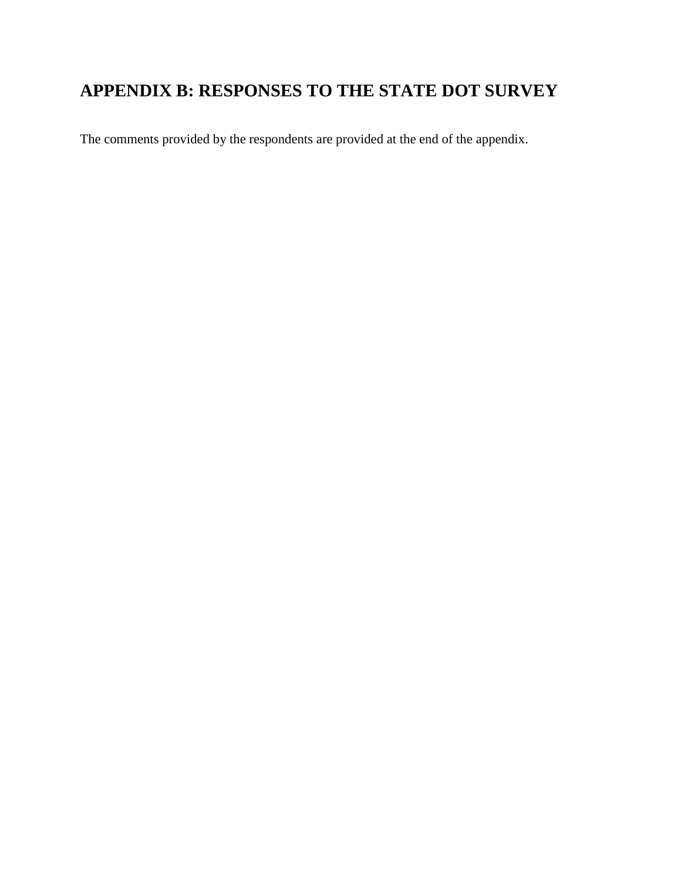# **APPENDIX B: RESPONSES TO THE STATE DOT SURVEY**

The comments provided by the respondents are provided at the end of the appendix.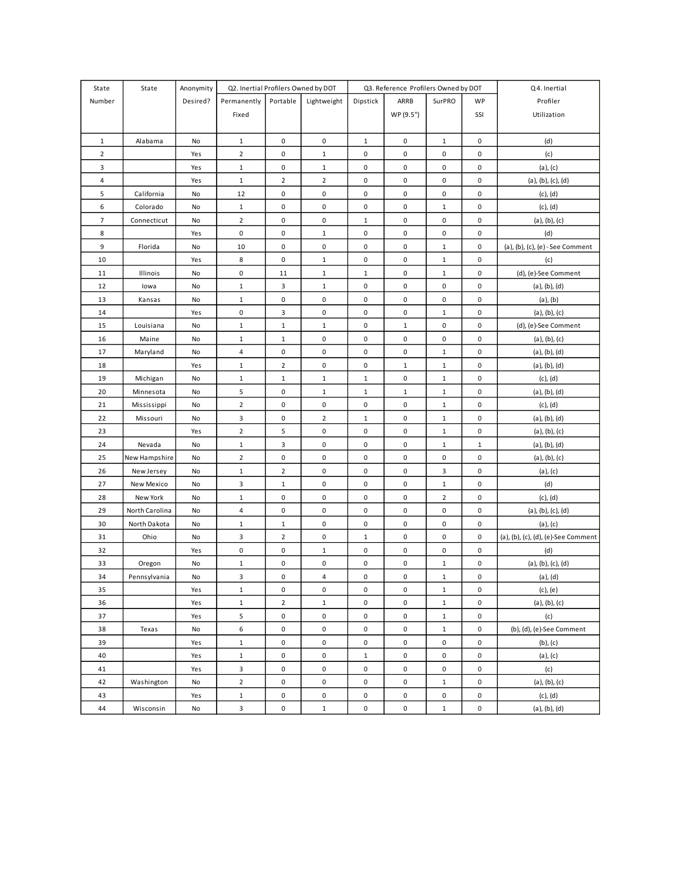| State          | State          | Anonymity | Q2. Inertial Profilers Owned by DOT |                     |                |              | Q3. Reference Profilers Owned by DOT |                |             | Q4. Inertial                        |
|----------------|----------------|-----------|-------------------------------------|---------------------|----------------|--------------|--------------------------------------|----------------|-------------|-------------------------------------|
| Number         |                | Desired?  | Permanently                         | Portable            | Lightweight    | Dipstick     | ARRB                                 | SurPRO         | WP          | Profiler                            |
|                |                |           | Fixed                               |                     |                |              | WP (9.5")                            |                | SSI         | Utilization                         |
|                |                |           |                                     |                     |                |              |                                      |                |             |                                     |
| $\mathbf{1}$   | Alabama        | No        | $\mathbf 1$                         | $\pmb{0}$           | $\pmb{0}$      | $1\,$        | $\mathbf 0$                          | $\mathbf{1}$   | $\pmb{0}$   | (d)                                 |
| $\overline{2}$ |                | Yes       | $\overline{2}$                      | 0                   | $\mathbf{1}$   | 0            | 0                                    | 0              | 0           | (c)                                 |
| 3              |                | Yes       | $\mathbf{1}$                        | 0                   | $\mathbf{1}$   | 0            | 0                                    | 0              | $\pmb{0}$   | (a), (c)                            |
| 4              |                | Yes       | $\mathbf{1}$                        | $\overline{2}$      | $\overline{2}$ | 0            | $\mathbf 0$                          | 0              | $\pmb{0}$   | (a), (b), (c), (d)                  |
| 5              | California     | No        | 12                                  | 0                   | 0              | 0            | 0                                    | 0              | 0           | (c), (d)                            |
| 6              | Colorado       | No        | $\mathbf{1}$                        | 0                   | 0              | 0            | $\mathbf 0$                          | $\mathbf{1}$   | 0           | $(c)$ , $(d)$                       |
| $\overline{7}$ | Connecticut    | No        | $\overline{2}$                      | 0                   | 0              | $\mathbf{1}$ | 0                                    | 0              | $\pmb{0}$   | (a), (b), (c)                       |
| 8              |                | Yes       | 0                                   | 0                   | $\mathbf{1}$   | 0            | 0                                    | 0              | 0           | (d)                                 |
| 9              | Florida        | No        | 10                                  | 0                   | 0              | 0            | 0                                    | $\mathbf{1}$   | 0           | (a), (b), (c), (e) - See Comment    |
| 10             |                | Yes       | 8                                   | 0                   | $\mathbf{1}$   | 0            | 0                                    | $\mathbf{1}$   | $\pmb{0}$   | (c)                                 |
| 11             | Illinois       | No        | $\pmb{0}$                           | 11                  | $\mathbf{1}$   | $\mathbf{1}$ | 0                                    | $\mathbf 1$    | $\pmb{0}$   | (d), (e)-See Comment                |
| 12             | lowa           | No        | $\mathbf{1}$                        | 3                   | $\mathbf{1}$   | 0            | $\mathbf 0$                          | $\pmb{0}$      | $\mathbf 0$ | (a), (b), (d)                       |
| 13             | Kansas         | No        | $\mathbf{1}$                        | $\pmb{0}$           | 0              | 0            | $\mathbf 0$                          | 0              | $\pmb{0}$   | $(a)$ , $(b)$                       |
| 14             |                | Yes       | 0                                   | 3                   | 0              | 0            | 0                                    | $\mathbf{1}$   | $\pmb{0}$   | (a), (b), (c)                       |
| 15             | Louisiana      | No        | $\mathbf{1}$                        | $\mathbf{1}$        | $\mathbf{1}$   | 0            | $\mathbf{1}$                         | 0              | $\pmb{0}$   | (d), (e)-See Comment                |
| 16             | Maine          | No        | $\mathbf{1}$                        | $\mathbf 1$         | 0              | 0            | $\mathbf 0$                          | 0              | $\pmb{0}$   | (a), (b), (c)                       |
| 17             | Maryland       | No        | 4                                   | $\pmb{0}$           | 0              | 0            | $\pmb{0}$                            | $\mathbf{1}$   | 0           | (a), (b), (d)                       |
| 18             |                | Yes       | $\mathbf{1}$                        | $\overline{2}$      | 0              | 0            | $\mathbf{1}$                         | $\mathbf{1}$   | 0           | (a), (b), (d)                       |
| 19             | Michigan       | No        | $\mathbf{1}$                        | $\mathbf 1$         | $\mathbf{1}$   | $\mathbf 1$  | $\pmb{0}$                            | $\mathbf{1}$   | 0           | $(c)$ , $(d)$                       |
| 20             | Minnesota      | No        | 5                                   | 0                   | $\mathbf{1}$   | $\mathbf{1}$ | $\mathbf{1}$                         | $\mathbf{1}$   | 0           | (a), (b), (d)                       |
| 21             | Mississippi    | No        | $\overline{2}$                      | 0                   | $\pmb{0}$      | $\pmb{0}$    | $\pmb{0}$                            | $\mathbf{1}$   | 0           | (c), (d)                            |
| 22             | Missouri       | No        | 3                                   | $\pmb{0}$           | $\overline{2}$ | $\mathbf{1}$ | $\pmb{0}$                            | $\mathbf{1}$   | 0           | (a), (b), (d)                       |
| 23             |                | Yes       | $\overline{2}$                      | 5                   | 0              | 0            | $\pmb{0}$                            | $\mathbf{1}$   | $\pmb{0}$   | (a), (b), (c)                       |
| 24             | Nevada         | No        | $\mathbf{1}$                        | 3                   | 0              | 0            | $\mathbf 0$                          | $\mathbf{1}$   | $\mathbf 1$ | (a), (b), (d)                       |
| 25             | New Hampshire  | No        | $\overline{2}$                      | $\pmb{0}$           | 0              | 0            | 0                                    | 0              | $\pmb{0}$   | (a), (b), (c)                       |
| 26             | New Jersey     | No        | $\mathbf{1}$                        | $\overline{2}$      | 0              | 0            | 0                                    | 3              | $\pmb{0}$   | (a), (c)                            |
| 27             | New Mexico     | No        | 3                                   | $\mathbf{1}$        | 0              | 0            | 0                                    | $\mathbf{1}$   | $\pmb{0}$   | (d)                                 |
| 28             | New York       | No        | $\mathbf{1}$                        | 0                   | 0              | 0            | $\mathbf 0$                          | $\overline{2}$ | 0           | $(c)$ , $(d)$                       |
| 29             | North Carolina | No        | 4                                   | $\pmb{0}$           | 0              | 0            | $\mathbf 0$                          | 0              | 0           | (a), (b), (c), (d)                  |
| 30             | North Dakota   | No        | $\mathbf{1}$                        | $\mathbf 1$         | 0              | 0            | $\pmb{0}$                            | 0              | $\pmb{0}$   | $(a)$ , $(c)$                       |
| 31             | Ohio           | No        | 3                                   | $\overline{2}$      | 0              | $\mathbf{1}$ | $\pmb{0}$                            | 0              | 0           | (a), (b), (c), (d), (e)-See Comment |
| 32             |                | Yes       | 0                                   | 0                   | $\mathbf{1}$   | 0            | $\pmb{0}$                            | 0              | 0           | (d)                                 |
| 33             | Oregon         | No        | $\mathbf{1}$                        | 0                   | 0              | 0            | $\pmb{0}$                            | $\mathbf{1}$   | 0           | (a), (b), (c), (d)                  |
| 34             | Pennsylvania   | No        | 3                                   | $\pmb{0}$           | 4              | 0            | 0                                    | $\mathbf{1}$   | $\pmb{0}$   | (a), (d)                            |
| 35             |                | Yes       | $\mathbf 1$                         | $\pmb{0}$           | 0              | 0            | $\pmb{0}$                            | $1\,$          | $\pmb{0}$   | (c), (e)                            |
| 36             |                | Yes       | $\mathbf{1}$                        | $\overline{2}$      | $\mathbf{1}$   | 0            | $\mathbf 0$                          | $\mathbf 1$    | 0           | (a), (b), (c)                       |
| 37             |                | Yes       | 5                                   | 0                   | 0              | 0            | $\mathbf 0$                          | $\mathbf{1}$   | $\pmb{0}$   | (c)                                 |
| 38             | Texas          | No        | 6                                   | 0                   | 0              | 0            | $\mathbf 0$                          | $\mathbf{1}$   | 0           | (b), (d), (e)-See Comment           |
| 39             |                | Yes       | $\mathbf{1}$                        | $\mathsf{O}\xspace$ | 0              | $\pmb{0}$    | $\mathbf 0$                          | $\pmb{0}$      | $\pmb{0}$   | (b), (c)                            |
| 40             |                | Yes       | $\mathbf{1}$                        | 0                   | 0              | $\mathbf{1}$ | $\mathbf 0$                          | 0              | 0           | (a), (c)                            |
| 41             |                | Yes       | 3                                   | 0                   | 0              | $\pmb{0}$    | $\mathbf 0$                          | 0              | 0           | (c)                                 |
| 42             | Washington     | No        | $\overline{2}$                      | 0                   | 0              | $\pmb{0}$    | $\mathbf 0$                          | $\mathbf{1}$   | 0           | (a), (b), (c)                       |
| 43             |                | Yes       | $\mathbf{1}$                        | 0                   | 0              | 0            | $\mathbf 0$                          | 0              | 0           | (c), (d)                            |
| 44             | Wisconsin      | No        | 3                                   | $\pmb{0}$           | $\mathbf{1}$   | $\pmb{0}$    | $\pmb{0}$                            | $\mathbf 1$    | $\pmb{0}$   | (a), (b), (d)                       |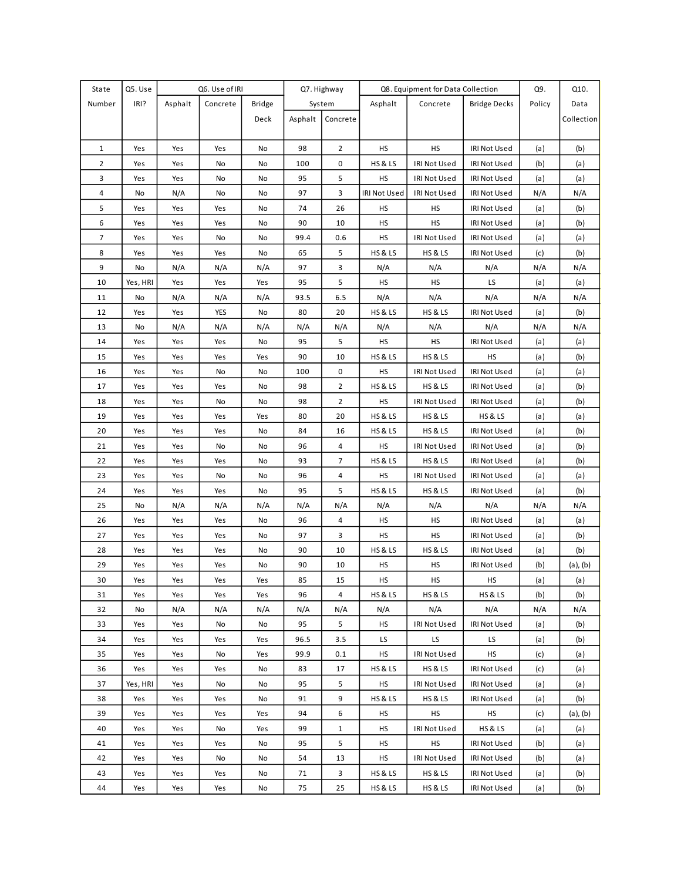| State          | Q5. Use  |         | Q6. Use of IRI |               | Q7. Highway |                | Q8. Equipment for Data Collection |                    |                     |        |            |
|----------------|----------|---------|----------------|---------------|-------------|----------------|-----------------------------------|--------------------|---------------------|--------|------------|
| Number         | IRI?     | Asphalt | Concrete       | <b>Bridge</b> |             | System         | Asphalt                           | Concrete           | <b>Bridge Decks</b> | Policy | Data       |
|                |          |         |                | Deck          | Asphalt     | Concrete       |                                   |                    |                     |        | Collection |
|                |          |         |                |               |             |                |                                   |                    |                     |        |            |
| $\mathbf{1}$   | Yes      | Yes     | Yes            | No            | 98          | $\overline{2}$ | HS                                | HS                 | IRI Not Used        | (a)    | (b)        |
| $\overline{2}$ | Yes      | Yes     | No             | No            | 100         | 0              | <b>HS &amp; LS</b>                | IRI Not Used       | IRI Not Used        | (b)    | (a)        |
| 3              | Yes      | Yes     | No             | No            | 95          | 5              | HS                                | IRI Not Used       | IRI Not Used        | (a)    | (a)        |
| $\overline{4}$ | No       | N/A     | No             | No            | 97          | 3              | IRI Not Used                      | IRI Not Used       | IRI Not Used        | N/A    | N/A        |
| 5              | Yes      | Yes     | Yes            | No            | 74          | 26             | НS                                | НS                 | IRI Not Used        | (a)    | (b)        |
| 6              | Yes      | Yes     | Yes            | No            | 90          | 10             | HS                                | HS                 | IRI Not Used        | (a)    | (b)        |
| 7              | Yes      | Yes     | No             | No            | 99.4        | 0.6            | HS                                | IRI Not Used       | IRI Not Used        | (a)    | (a)        |
| 8              | Yes      | Yes     | Yes            | No            | 65          | 5              | <b>HS &amp; LS</b>                | HS & LS            | IRI Not Used        | (c)    | (b)        |
| 9              | No       | N/A     | N/A            | N/A           | 97          | 3              | N/A                               | N/A                | N/A                 | N/A    | N/A        |
| 10             | Yes, HRI | Yes     | Yes            | Yes           | 95          | 5              | HS                                | HS                 | LS                  | (a)    | (a)        |
| 11             | No       | N/A     | N/A            | N/A           | 93.5        | 6.5            | N/A                               | N/A                | N/A                 | N/A    | N/A        |
| 12             | Yes      | Yes     | YES            | No            | 80          | 20             | <b>HS &amp; LS</b>                | HS & LS            | IRI Not Used        | (a)    | (b)        |
| 13             | No       | N/A     | N/A            | N/A           | N/A         | N/A            | N/A                               | N/A                | N/A                 | N/A    | N/A        |
| 14             | Yes      | Yes     | Yes            | No            | 95          | 5              | HS                                | HS                 | IRI Not Used        | (a)    | (a)        |
| 15             | Yes      | Yes     | Yes            | Yes           | 90          | 10             | <b>HS &amp; LS</b>                | <b>HS &amp; LS</b> | HS                  | (a)    | (b)        |
| 16             | Yes      | Yes     | No             | No            | 100         | 0              | HS                                | IRI Not Used       | IRI Not Used        | (a)    | (a)        |
| 17             | Yes      | Yes     | Yes            | No            | 98          | $\overline{2}$ | <b>HS &amp; LS</b>                | HS&LS              | IRI Not Used        | (a)    | (b)        |
| 18             | Yes      | Yes     | No             | No            | 98          | $\overline{2}$ | HS                                | IRI Not Used       | IRI Not Used        | (a)    | (b)        |
| 19             | Yes      | Yes     | Yes            | Yes           | 80          | 20             | <b>HS &amp; LS</b>                | HS&LS              | HS & LS             | (a)    | (a)        |
| 20             | Yes      | Yes     | Yes            | No            | 84          | 16             | <b>HS &amp; LS</b>                | HS&LS              | IRI Not Used        | (a)    | (b)        |
| 21             | Yes      | Yes     | No             | No            | 96          | $\overline{4}$ | HS                                | IRI Not Used       | IRI Not Used        | (a)    | (b)        |
| 22             | Yes      | Yes     | Yes            | No            | 93          | $\overline{7}$ | <b>HS &amp; LS</b>                | HS&LS              | IRI Not Used        | (a)    | (b)        |
| 23             | Yes      | Yes     | No             | No            | 96          | $\overline{4}$ | HS                                | IRI Not Used       | IRI Not Used        | (a)    | (a)        |
| 24             | Yes      | Yes     | Yes            | No            | 95          | 5              | <b>HS &amp; LS</b>                | HS&LS              | IRI Not Used        | (a)    | (b)        |
| 25             | No       | N/A     | N/A            | N/A           | N/A         | N/A            | N/A                               | N/A                | N/A                 | N/A    | N/A        |
| 26             | Yes      | Yes     | Yes            | No            | 96          | $\overline{4}$ | HS                                | HS                 | IRI Not Used        | (a)    | (a)        |
| 27             | Yes      | Yes     | Yes            | No            | 97          | 3              | HS                                | HS                 | IRI Not Used        | (a)    | (b)        |
| 28             | Yes      | Yes     | Yes            | No            | 90          | 10             | <b>HS &amp; LS</b>                | <b>HS &amp; LS</b> | IRI Not Used        | (a)    | (b)        |
| 29             | Yes      | Yes     | Yes            | No            | 90          | 10             | HS                                | HS                 | IRI Not Used        | (b)    | (a), (b)   |
| 30             | Yes      | Yes     | Yes            | Yes           | 85          | 15             | <b>HS</b>                         | <b>HS</b>          | <b>HS</b>           | (a)    | (a)        |
| 31             | Yes      | Yes     | Yes            | Yes           | 96          | $\overline{4}$ | <b>HS &amp; LS</b>                | HS&LS              | HS & LS             | (b)    | (b)        |
| 32             | No       | N/A     | N/A            | N/A           | N/A         | N/A            | N/A                               | N/A                | N/A                 | N/A    | N/A        |
| 33             | Yes      | Yes     | No             | No            | 95          | 5              | HS                                | IRI Not Used       | <b>IRI Not Used</b> | (a)    | (b)        |
| 34             | Yes      | Yes     | Yes            | Yes           | 96.5        | 3.5            | LS                                | LS.                | LS.                 | (a)    | (b)        |
| 35             | Yes      | Yes     | No             | Yes           | 99.9        | 0.1            | HS.                               | IRI Not Used       | <b>HS</b>           | (c)    | (a)        |
| 36             | Yes      | Yes     | Yes            | No            | 83          | 17             | <b>HS &amp; LS</b>                | <b>HS &amp; LS</b> | IRI Not Used        | (c)    | (a)        |
| 37             | Yes, HRI | Yes     | No             | No            | 95          | 5              | HS                                | IRI Not Used       | IRI Not Used        | (a)    | (a)        |
| 38             | Yes      | Yes     | Yes            | No            | 91          | 9              | <b>HS &amp; LS</b>                | HS&LS              | IRI Not Used        | (a)    | (b)        |
| 39             | Yes      | Yes     | Yes            | Yes           | 94          | 6              | HS                                | HS                 | <b>HS</b>           | (c)    | (a), (b)   |
| 40             | Yes      | Yes     | No             | Yes           | 99          | $\mathbf{1}$   | НS                                | IRI Not Used       | HS & LS             | (a)    | (a)        |
| 41             | Yes      | Yes     | Yes            | No            | 95          | 5              | HS                                | HS                 | IRI Not Used        | (b)    | (a)        |
| 42             | Yes      | Yes     | No             | No            | 54          | 13             | HS                                | IRI Not Used       | IRI Not Used        | (b)    | (a)        |
| 43             | Yes      | Yes     | Yes            | No            | 71          | 3              | <b>HS &amp; LS</b>                | HS&LS              | IRI Not Used        | (a)    | (b)        |
| 44             | Yes      | Yes     | Yes            | No            | 75          | 25             | <b>HS &amp; LS</b>                | HS&LS              | IRI Not Used        | (a)    | (b)        |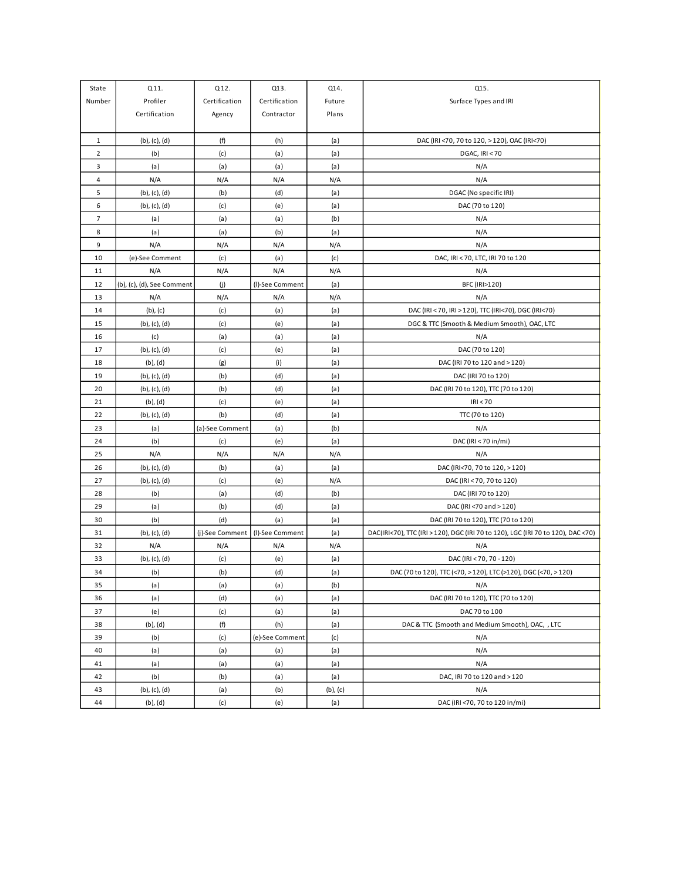| State          | Q11.                       | Q12.            | Q13.            | Q14.          | Q15.                                                                             |
|----------------|----------------------------|-----------------|-----------------|---------------|----------------------------------------------------------------------------------|
| Number         | Profiler                   | Certification   | Certification   | Future        | Surface Types and IRI                                                            |
|                | Certification              | Agency          | Contractor      | Plans         |                                                                                  |
|                |                            |                 |                 |               |                                                                                  |
| $\mathbf{1}$   | (b), (c), (d)              | (f)             | (h)             | (a)           | DAC (IRI <70, 70 to 120, >120), OAC (IRI<70)                                     |
| $\overline{2}$ | (b)                        | (c)             | (a)             | (a)           | DGAC, IRI < 70                                                                   |
| 3              | (a)                        | (a)             | (a)             | (a)           | N/A                                                                              |
| $\overline{4}$ | N/A                        | N/A             | N/A             | N/A           | N/A                                                                              |
| 5              | (b), (c), (d)              | (b)             | (d)             | (a)           | DGAC (No specific IRI)                                                           |
| 6              | (b), (c), (d)              | (c)             | (e)             | (a)           | DAC (70 to 120)                                                                  |
| $\overline{7}$ | (a)                        | (a)             | (a)             | (b)           | N/A                                                                              |
| 8              | (a)                        | (a)             | (b)             | (a)           | N/A                                                                              |
| 9              | N/A                        | N/A             | N/A             | N/A           | N/A                                                                              |
| 10             | (e)-See Comment            | (c)             | (a)             | (c)           | DAC, IRI < 70, LTC, IRI 70 to 120                                                |
| 11             | N/A                        | N/A             | N/A             | N/A           | N/A                                                                              |
| 12             | (b), (c), (d), See Comment | (j)             | (I)-See Comment | (a)           | BFC (IRI>120)                                                                    |
| 13             | N/A                        | N/A             | N/A             | N/A           | N/A                                                                              |
| 14             | $(b)$ , $(c)$              | (c)             | (a)             | (a)           | DAC (IRI < 70, IRI > 120), TTC (IRI<70), DGC (IRI<70)                            |
| 15             | (b), (c), (d)              | (c)             | (e)             | (a)           | DGC & TTC (Smooth & Medium Smooth), OAC, LTC                                     |
| 16             | (c)                        | (a)             | (a)             | (a)           | N/A                                                                              |
| 17             | (b), (c), (d)              | (c)             | (e)             | (a)           | DAC (70 to 120)                                                                  |
| 18             | (b), (d)                   | (g)             | (i)             | (a)           | DAC (IRI 70 to 120 and > 120)                                                    |
| 19             | (b), (c), (d)              | (b)             | (d)             | (a)           | DAC (IRI 70 to 120)                                                              |
| 20             | (b), (c), (d)              | (b)             | (d)             | (a)           | DAC (IRI 70 to 120), TTC (70 to 120)                                             |
| 21             | (b), (d)                   | (c)             | (e)             | (a)           | IRI < 70                                                                         |
| 22             | (b), (c), (d)              | (b)             | (d)             | (a)           | TTC (70 to 120)                                                                  |
| 23             | (a)                        | (a)-See Comment | (a)             | (b)           | N/A                                                                              |
| 24             | (b)                        | (c)             | (e)             | (a)           | DAC (IRI < 70 in/mi)                                                             |
| 25             | N/A                        | N/A             | N/A             | N/A           | N/A                                                                              |
| 26             | (b), (c), (d)              | (b)             | (a)             | (a)           | DAC (IRI<70, 70 to 120, >120)                                                    |
| 27             | (b), (c), (d)              | (c)             | (e)             | N/A           | DAC (IRI < 70, 70 to 120)                                                        |
| 28             | (b)                        | (a)             | (d)             | (b)           | DAC (IRI 70 to 120)                                                              |
| 29             | (a)                        | (b)             | (d)             | (a)           | DAC (IRI<70 and > 120)                                                           |
| 30             | (b)                        | (d)             | (a)             | (a)           | DAC (IRI 70 to 120), TTC (70 to 120)                                             |
| 31             | (b), (c), (d)              | (j)-See Comment | (I)-See Comment | (a)           | DAC(IRI<70), TTC (IRI > 120), DGC (IRI 70 to 120), LGC (IRI 70 to 120), DAC <70) |
| 32             | N/A                        | N/A             | N/A             | N/A           | N/A                                                                              |
| 33             | $(b)$ , $(c)$ , $(d)$      | (c)             | (e)             | (a)           | DAC (IRI < 70, 70 - 120)                                                         |
| 34             | (b)                        | (b)             | (d)             | (a)           | DAC (70 to 120), TTC (<70, > 120), LTC (>120), DGC (<70, > 120)                  |
| 35             | (a)                        | (a)             | (a)             | (b)           | N/A                                                                              |
| 36             | (a)                        | (d)             | (a)             | (a)           | DAC (IRI 70 to 120), TTC (70 to 120)                                             |
| 37             | (e)                        | (c)             | (a)             | (a)           | DAC 70 to 100                                                                    |
| 38             | $(b)$ , $(d)$              | $(\mathsf{f})$  | (h)             | (a)           | DAC & TTC (Smooth and Medium Smooth), OAC, , LTC                                 |
| 39             | (b)                        | (c)             | (e)-See Comment | (c)           | N/A                                                                              |
| 40             | (a)                        | (a)             | (a)             | (a)           | N/A                                                                              |
| 41             | (a)                        | (a)             | (a)             | (a)           | N/A                                                                              |
| 42             | (b)                        | (b)             | (a)             | (a)           | DAC, IRI 70 to 120 and > 120                                                     |
| 43             | $(b)$ , $(c)$ , $(d)$      | (a)             | (b)             | $(b)$ , $(c)$ | N/A                                                                              |
| 44             | (b), (d)                   | (c)             | (e)             | (a)           | DAC (IRI <70, 70 to 120 in/mi)                                                   |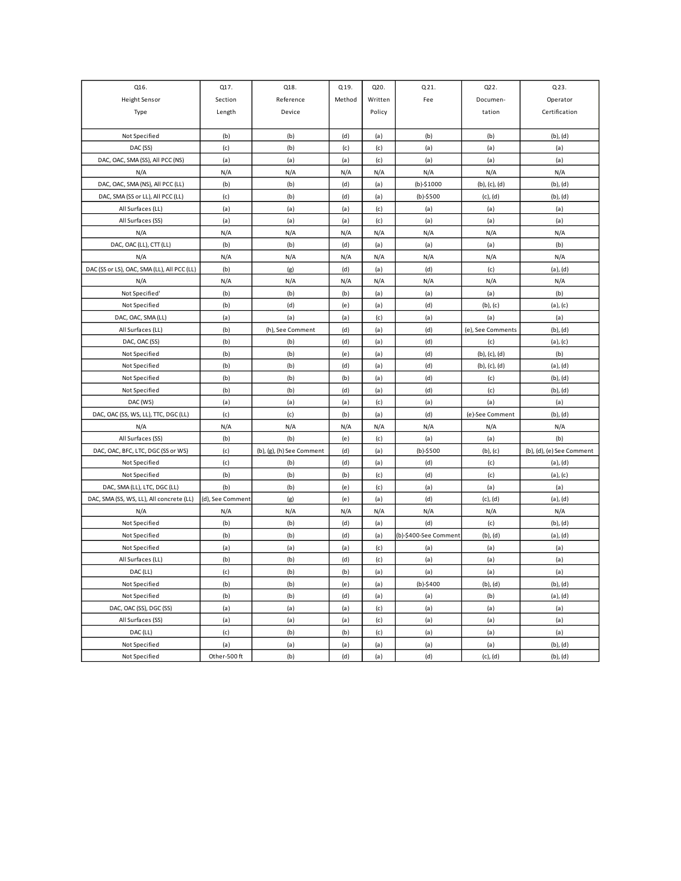| Q16.                                        | Q17.             | Q18.                      | Q19.   | Q20.    | Q21.                  | Q22.                  | Q23.                      |
|---------------------------------------------|------------------|---------------------------|--------|---------|-----------------------|-----------------------|---------------------------|
| <b>Height Sensor</b>                        | Section          | Reference                 | Method | Written | Fee                   | Documen-              | Operator                  |
| Type                                        | Length           | Device                    |        | Policy  |                       | tation                | Certification             |
|                                             |                  |                           |        |         |                       |                       |                           |
| Not Specified                               | (b)              | (b)                       | (d)    | (a)     | (b)                   | (b)                   | (b), (d)                  |
| DAC (SS)                                    | (c)              | (b)                       | (c)    | (c)     | (a)                   | (a)                   | (a)                       |
| DAC, OAC, SMA (SS), All PCC (NS)            | (a)              | (a)                       | (a)    | (c)     | (a)                   | (a)                   | (a)                       |
| N/A                                         | N/A              | N/A                       | N/A    | N/A     | N/A                   | N/A                   | N/A                       |
| DAC, OAC, SMA (NS), All PCC (LL)            | (b)              | (b)                       | (d)    | (a)     | $(b)-$1000$           | $(b)$ , $(c)$ , $(d)$ | $(b)$ , $(d)$             |
| DAC, SMA (SS or LL), All PCC (LL)           | (c)              | (b)                       | (d)    | (a)     | $(b)-$500$            | $(c)$ , $(d)$         | (b), (d)                  |
| All Surfaces (LL)                           | (a)              | (a)                       | (a)    | (c)     | (a)                   | (a)                   | (a)                       |
| All Surfaces (SS)                           | (a)              | (a)                       | (a)    | (c)     | (a)                   | (a)                   | (a)                       |
| N/A                                         | N/A              | N/A                       | N/A    | N/A     | N/A                   | N/A                   | N/A                       |
| DAC, OAC (LL), CTT (LL)                     | (b)              | (b)                       | (d)    | (a)     | (a)                   | (a)                   | (b)                       |
| N/A                                         | N/A              | N/A                       | N/A    | N/A     | N/A                   | N/A                   | N/A                       |
| DAC (SS or LS), OAC, SMA (LL), All PCC (LL) | (b)              | (g)                       | (d)    | (a)     | (d)                   | (c)                   | (a), (d)                  |
| N/A                                         | N/A              | N/A                       | N/A    | N/A     | N/A                   | N/A                   | N/A                       |
| Not Specified'                              | (b)              | (b)                       | (b)    | (a)     | (a)                   | (a)                   | (b)                       |
| Not Specified                               | (b)              | (d)                       | (e)    | (a)     | (d)                   | $(b)$ , $(c)$         | (a), (c)                  |
| DAC, OAC, SMA (LL)                          | (a)              | (a)                       | (a)    | (c)     | (a)                   | (a)                   | (a)                       |
| All Surfaces (LL)                           | (b)              | (h), See Comment          | (d)    | (a)     | (d)                   | (e), See Comments     | $(b)$ , $(d)$             |
| DAC, OAC (SS)                               | (b)              | (b)                       | (d)    | (a)     | (d)                   | (c)                   | $(a)$ , $(c)$             |
| Not Specified                               | (b)              | (b)                       | (e)    | (a)     | (d)                   | (b), (c), (d)         | (b)                       |
| Not Specified                               | (b)              | (b)                       | (d)    | (a)     | (d)                   | (b), (c), (d)         | $(a)$ , $(d)$             |
| Not Specified                               | (b)              | (b)                       | (b)    | (a)     | (d)                   | (c)                   | $(b)$ , $(d)$             |
| Not Specified                               | (b)              | (b)                       | (d)    | (a)     | (d)                   | (c)                   | (b), (d)                  |
| DAC (WS)                                    | (a)              | (a)                       | (a)    | (c)     | (a)                   | (a)                   | (a)                       |
| DAC, OAC (SS, WS, LL), TTC, DGC (LL)        | (c)              | (c)                       | (b)    | (a)     | (d)                   | (e)-See Comment       | (b), (d)                  |
| N/A                                         | N/A              | N/A                       | N/A    | N/A     | N/A                   | N/A                   | N/A                       |
| All Surfaces (SS)                           | (b)              | (b)                       | (e)    | (c)     | (a)                   | (a)                   | (b)                       |
| DAC, OAC, BFC, LTC, DGC (SS or WS)          | (c)              | (b), (g), (h) See Comment | (d)    | (a)     | $(b)-$500$            | $(b)$ , $(c)$         | (b), (d), (e) See Comment |
| Not Specified                               | (c)              | (b)                       | (d)    | (a)     | (d)                   | (c)                   | (a), (d)                  |
| Not Specified                               | (b)              | (b)                       | (b)    | (c)     | (d)                   | (c)                   | $(a)$ , $(c)$             |
| DAC, SMA (LL), LTC, DGC (LL)                | (b)              | (b)                       | (e)    | (c)     | (a)                   | (a)                   | (a)                       |
| DAC, SMA (SS, WS, LL), All concrete (LL)    | (d), See Comment | (g)                       | (e)    | (a)     | (d)                   | $(c)$ , $(d)$         | $(a)$ , $(d)$             |
| N/A                                         | N/A              | N/A                       | N/A    | N/A     | N/A                   | N/A                   | N/A                       |
| Not Specified                               | (b)              | (b)                       | (d)    | (a)     | (d)                   | (c)                   | $(b)$ , $(d)$             |
| Not Specified                               | (b)              | (b)                       | (d)    | (a)     | (b)-\$400-See Comment | (b), (d)              | $(a)$ , $(d)$             |
| Not Specified                               | (a)              | (a)                       | (a)    | (c)     | (a)                   | (a)                   | (a)                       |
| All Surfaces (LL)                           | (b)              | (b)                       | (d)    | (c)     | (a)                   | (a)                   | (a)                       |
| DAC (LL)                                    | (c)              | (b)                       | (b)    | (a)     | (a)                   | (a)                   | (a)                       |
| Not Specified                               | (b)              | (b)                       | (e)    | (a)     | $(b)-$400$            | (b), (d)              | (b), (d)                  |
| Not Specified                               | (b)              | (b)                       | (d)    | (a)     | (a)                   | (b)                   | (a), (d)                  |
| DAC, OAC (SS), DGC (SS)                     | (a)              | (a)                       | (a)    | (c)     | (a)                   | (a)                   | (a)                       |
| All Surfaces (SS)                           | (a)              | (a)                       | (a)    | (c)     | (a)                   | (a)                   | (a)                       |
| DAC (LL)                                    | (c)              | (b)                       | (b)    | (c)     | (a)                   | (a)                   | (a)                       |
| Not Specified                               | (a)              | (a)                       | (a)    | (a)     | (a)                   | (a)                   | $(b)$ , $(d)$             |
| Not Specified                               | Other-500 ft     | (b)                       | (d)    | (a)     | (d)                   | $(c)$ , $(d)$         | (b), (d)                  |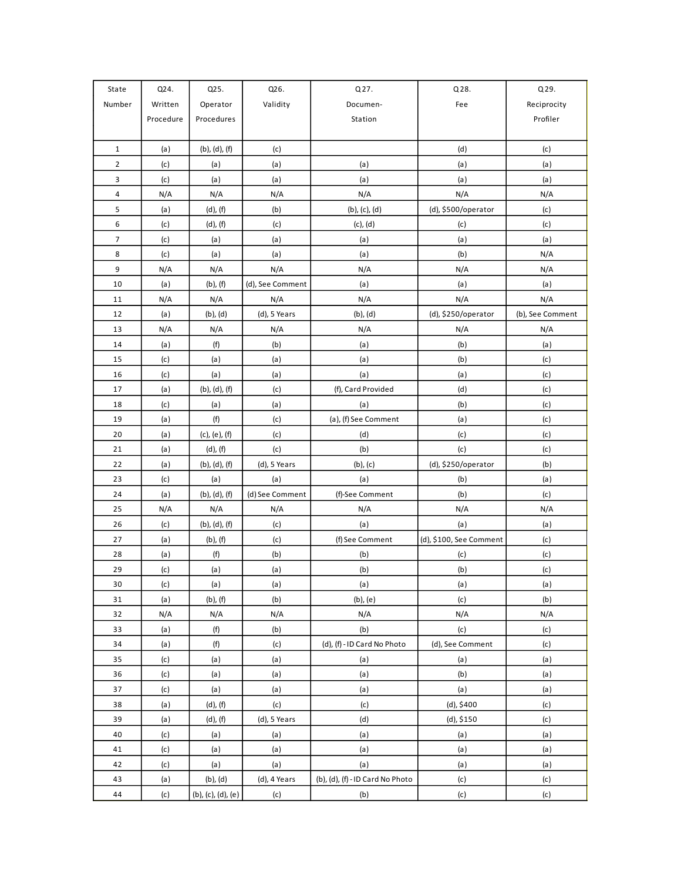| State          | Q24.      | Q25.                  | Q26.             | Q27.<br>Q28.                     |                         | Q29.             |  |
|----------------|-----------|-----------------------|------------------|----------------------------------|-------------------------|------------------|--|
| Number         | Written   | Operator              | Validity         | Documen-                         | Fee                     | Reciprocity      |  |
|                | Procedure | Procedures            |                  | Station                          |                         | Profiler         |  |
|                |           |                       |                  |                                  |                         |                  |  |
| $\mathbf{1}$   | (a)       | (b), (d), (f)         | (c)              |                                  | (d)                     | (c)              |  |
| $\overline{2}$ | (c)       | (a)                   | (a)              | (a)                              | (a)                     | (a)              |  |
| 3              | (c)       | (a)                   | (a)              | (a)                              | (a)                     | (a)              |  |
| $\overline{4}$ | N/A       | N/A                   | N/A              | N/A                              | N/A                     | N/A              |  |
| 5              | (a)       | $(d)$ , $(f)$         | (b)              | $(b)$ , $(c)$ , $(d)$            | (d), \$500/operator     | (c)              |  |
| 6              | (c)       | $(d)$ , $(f)$         | (c)              | $(c)$ , $(d)$                    | (c)                     | (c)              |  |
| $\overline{7}$ | (c)       | (a)                   | (a)              | (a)                              | (a)                     | (a)              |  |
| 8              | (c)       | (a)                   | (a)              | (a)                              | (b)                     | N/A              |  |
| 9              | N/A       | N/A                   | N/A              | N/A                              | N/A                     | N/A              |  |
| 10             | (a)       | $(b)$ , $(f)$         | (d), See Comment | (a)                              | (a)                     | (a)              |  |
| 11             | N/A       | N/A                   | N/A              | N/A                              | N/A                     | N/A              |  |
| 12             | (a)       | $(b)$ , $(d)$         | $(d)$ , 5 Years  | $(b)$ , $(d)$                    | (d), \$250/operator     | (b), See Comment |  |
| 13             | N/A       | N/A                   | N/A              | N/A                              | N/A                     | N/A              |  |
| 14             | (a)       | (f)                   | (b)              | (a)                              | (b)                     | (a)              |  |
| 15             | (c)       | (a)                   | (a)              | (a)                              | (b)                     | (c)              |  |
| 16             | (c)       | (a)                   | (a)              | (a)                              | (a)                     | (c)              |  |
| 17             | (a)       | $(b)$ , $(d)$ , $(f)$ | (c)              | (f), Card Provided               | (d)                     | (c)              |  |
| 18             | (c)       | (a)                   | (a)              | (a)                              | (b)                     | (c)              |  |
| 19             | (a)       | (f)                   | (c)              | (a), (f) See Comment             | (a)                     | (c)              |  |
| 20             | (a)       | (c), (e), (f)         | (c)              | (d)                              | (c)                     | (c)              |  |
| 21             | (a)       | $(d)$ , $(f)$         | (c)              | (b)                              | (c)                     | (c)              |  |
| 22             | (a)       | (b), (d), (f)         | $(d)$ , 5 Years  | $(b)$ , $(c)$                    | (d), \$250/operator     | (b)              |  |
| 23             | (c)       | (a)                   | (a)              | (a)                              | (b)                     | (a)              |  |
| 24             | (a)       | (b), (d), (f)         | (d) See Comment  | (f)-See Comment                  | (b)                     | (c)              |  |
| 25             | N/A       | N/A                   | N/A              | N/A                              | N/A                     | N/A              |  |
| 26             | (c)       | $(b)$ , $(d)$ , $(f)$ | (c)              | (a)                              | (a)                     | (a)              |  |
| 27             | (a)       | $(b)$ , $(f)$         | (c)              | (f) See Comment                  | (d), \$100, See Comment | (c)              |  |
| 28             | (a)       | (f)                   | (b)              | (b)                              | (c)                     | (c)              |  |
| 29             | (c)       | (a)                   | (a)              | (b)                              | (b)                     | (c)              |  |
| 30             | (c)       | (a)                   | (a)              | (a)                              | (a)                     | (a)              |  |
| 31             | (a)       | $(b)$ , $(f)$         | (b)              | $(b)$ , $(e)$                    | (c)                     | (b)              |  |
| 32             | N/A       | N/A                   | N/A              | N/A                              | N/A                     | N/A              |  |
| 33             | (a)       | (f)                   | (b)              | (b)                              | (c)                     | (c)              |  |
| 34             | (a)       | (f)                   | (c)              | (d), (f) - ID Card No Photo      | (d), See Comment        | (c)              |  |
| 35             | (c)       | (a)                   | (a)              | (a)                              | (a)                     | (a)              |  |
| 36             | (c)       | (a)                   | (a)              | (a)                              | (b)                     | (a)              |  |
| 37             | (c)       | (a)                   | (a)              | (a)                              | (a)                     | (a)              |  |
| 38             | (a)       | $(d)$ , $(f)$         | (c)              | (c)                              | (d), \$400              | (c)              |  |
| 39             | (a)       | $(d)$ , $(f)$         | $(d)$ , 5 Years  | (d)                              | (d), \$150              | (c)              |  |
| 40             | (c)       | (a)                   | (a)              | (a)                              | (a)                     | (a)              |  |
| 41             | (c)       | (a)                   | (a)              | (a)                              | (a)                     | (a)              |  |
| 42             | (c)       | (a)                   | (a)              | (a)                              | (a)                     | (a)              |  |
| 43             | (a)       | $(b)$ , $(d)$         | (d), 4 Years     | (b), (d), (f) - ID Card No Photo | (c)                     | (c)              |  |
| 44             | (c)       | (b), (c), (d), (e)    | (c)              | (b)                              | (c)                     | (c)              |  |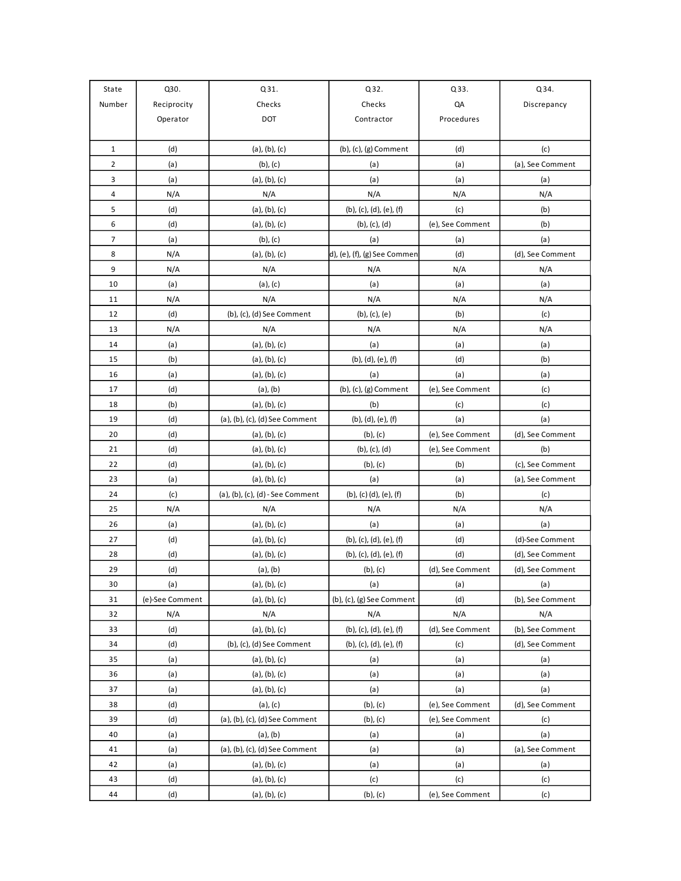| State          | Q30.            | Q31.                             | Q32.                         | Q33.             | Q34.             |
|----------------|-----------------|----------------------------------|------------------------------|------------------|------------------|
| Number         | Reciprocity     | Checks                           | Checks                       | QA               | Discrepancy      |
|                | Operator        | DOT                              | Contractor                   | Procedures       |                  |
|                |                 |                                  |                              |                  |                  |
| $\mathbf{1}$   | (d)             | (a), (b), (c)                    | (b), (c), (g) Comment        | (d)              | (c)              |
| $\overline{2}$ | (a)             | $(b)$ , $(c)$                    | (a)                          | (a)              | (a), See Comment |
| 3              | (a)             | (a), (b), (c)                    | (a)                          | (a)              | (a)              |
| 4              | N/A             | N/A                              | N/A                          | N/A              | N/A              |
| 5              | (d)             | (a), (b), (c)                    | (b), (c), (d), (e), (f)      | (c)              | (b)              |
| 6              | (d)             | (a), (b), (c)                    | (b), (c), (d)                | (e), See Comment | (b)              |
| $\overline{7}$ | (a)             | $(b)$ , $(c)$                    | (a)                          | (a)              | (a)              |
| 8              | N/A             | (a), (b), (c)                    | d), (e), (f), (g) See Commen | (d)              | (d), See Comment |
| 9              | N/A             | N/A                              | N/A                          | N/A              | N/A              |
| 10             | (a)             | $(a)$ , $(c)$                    | (a)                          | (a)              | (a)              |
| 11             | N/A             | N/A                              | N/A                          | N/A              | N/A              |
| 12             | (d)             | (b), (c), (d) See Comment        | (b), (c), (e)                | (b)              | (c)              |
| 13             | N/A             | N/A                              | N/A                          | N/A              | N/A              |
| 14             | (a)             | (a), (b), (c)                    | (a)                          | (a)              | (a)              |
| 15             | (b)             | $(a)$ , $(b)$ , $(c)$            | (b), (d), (e), (f)           | (d)              | (b)              |
| 16             | (a)             | (a), (b), (c)                    | (a)                          | (a)              | (a)              |
| 17             | (d)             | $(a)$ , $(b)$                    | (b), (c), (g) Comment        | (e), See Comment | (c)              |
| 18             | (b)             | (a), (b), (c)                    | (b)                          | (c)              | (c)              |
| 19             | (d)             | (a), (b), (c), (d) See Comment   | (b), (d), (e), (f)           | (a)              | (a)              |
| 20             | (d)             | (a), (b), (c)                    | $(b)$ , $(c)$                | (e), See Comment | (d), See Comment |
| 21             | (d)             | (a), (b), (c)                    | (b), (c), (d)                | (e), See Comment | (b)              |
| 22             | (d)             | (a), (b), (c)                    | $(b)$ , $(c)$                | (b)              | (c), See Comment |
| 23             | (a)             | (a), (b), (c)                    | (a)                          | (a)              | (a), See Comment |
| 24             | (c)             | (a), (b), (c), (d) - See Comment | (b), (c) (d), (e), (f)       | (b)              | (c)              |
| 25             | N/A             | N/A                              | N/A                          | N/A              | N/A              |
| 26             | (a)             | (a), (b), (c)                    | (a)                          | (a)              | (a)              |
| 27             | (d)             | (a), (b), (c)                    | (b), (c), (d), (e), (f)      | (d)              | (d)-See Comment  |
| 28             | (d)             | (a), (b), (c)                    | (b), (c), (d), (e), (f)      | (d)              | (d), See Comment |
| 29             | (d)             | $(a)$ , $(b)$                    | $(b)$ , $(c)$                | (d), See Comment | (d), See Comment |
| 30             | (a)             | (a), (b), (c)                    | (a)                          | (a)              | (a)              |
| 31             | (e)-See Comment | (a), (b), (c)                    | (b), (c), (g) See Comment    | (d)              | (b), See Comment |
| 32             | N/A             | N/A                              | N/A                          | N/A              | N/A              |
| 33             | (d)             | (a), (b), (c)                    | (b), (c), (d), (e), (f)      | (d), See Comment | (b), See Comment |
| 34             | (d)             | (b), (c), (d) See Comment        | (b), (c), (d), (e), (f)      | (c)              | (d), See Comment |
| 35             | (a)             | (a), (b), (c)                    | (a)                          | (a)              | (a)              |
| 36             | (a)             | (a), (b), (c)                    | (a)                          | (a)              | (a)              |
| 37             | (a)             | (a), (b), (c)                    | (a)                          | (a)              | (a)              |
| 38             | (d)             | (a), (c)                         | $(b)$ , $(c)$                | (e), See Comment | (d), See Comment |
| 39             | (d)             | (a), (b), (c), (d) See Comment   | $(b)$ , $(c)$                | (e), See Comment | (c)              |
| 40             | (a)             | $(a)$ , $(b)$                    | (a)                          | (a)              | (a)              |
| 41             | (a)             | (a), (b), (c), (d) See Comment   | (a)                          | (a)              | (a), See Comment |
| 42             | (a)             | (a), (b), (c)                    | (a)                          | (a)              | (a)              |
| 43             | $(\mathsf{d})$  | (a), (b), (c)                    | (c)                          | (c)              | (c)              |
| 44             | $(\mathsf{d})$  | (a), (b), (c)                    | $(b)$ , $(c)$                | (e), See Comment | (c)              |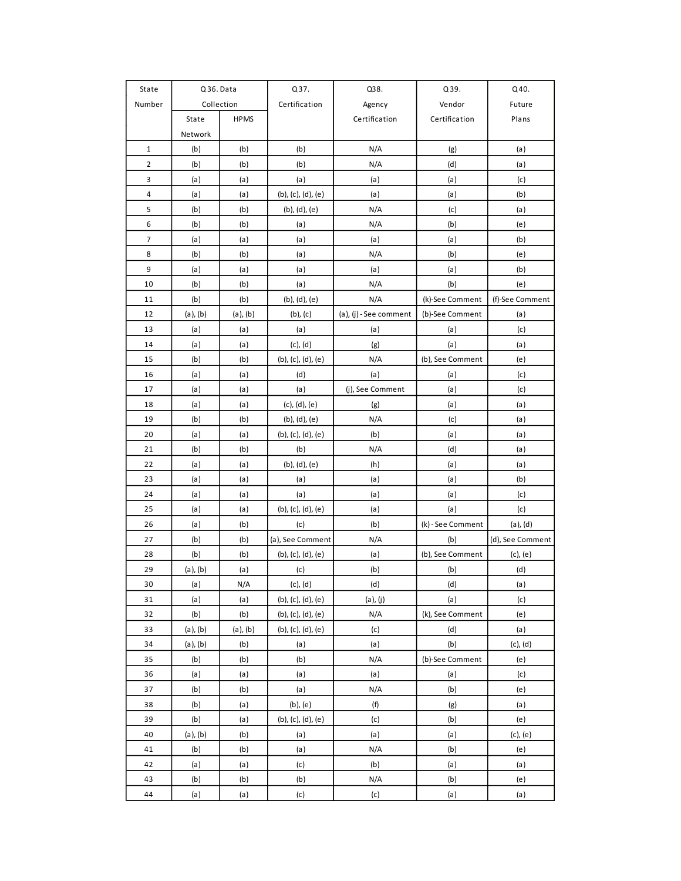| State        | Q36. Data     |               | Q37.                  | Q38.                   | Q39.              | Q40.             |  |
|--------------|---------------|---------------|-----------------------|------------------------|-------------------|------------------|--|
| Number       |               | Collection    | Certification         | Agency                 | Vendor            | Future           |  |
|              | State         | <b>HPMS</b>   |                       | Certification          | Certification     | Plans            |  |
|              | Network       |               |                       |                        |                   |                  |  |
| $\mathbf{1}$ | (b)           | (b)           | (b)                   | N/A                    | (g)               | (a)              |  |
| 2            | (b)           | (b)           | (b)                   | N/A                    | (d)               | (a)              |  |
| 3            | (a)           | (a)           | (a)                   | (a)                    | (a)               | (c)              |  |
| 4            | (a)           | (a)           | (b), (c), (d), (e)    | (a)                    | (a)               | (b)              |  |
| 5            | (b)           | (b)           | $(b)$ , $(d)$ , $(e)$ | N/A                    | (c)               | (a)              |  |
| 6            | (b)           | (b)           | (a)                   | N/A                    | (b)               | (e)              |  |
| 7            | (a)           | (a)           | (a)                   | (a)                    | (a)               | (b)              |  |
| 8            | (b)           | (b)           | (a)                   | N/A                    | (b)               | (e)              |  |
| 9            | (a)           | (a)           | (a)                   | (a)                    | (a)               | (b)              |  |
| 10           | (b)           | (b)           | (a)                   | N/A                    | (b)               | (e)              |  |
| 11           | (b)           | (b)           | (b), (d), (e)         | N/A                    | (k)-See Comment   | (f)-See Comment  |  |
| 12           | $(a)$ , $(b)$ | $(a)$ , $(b)$ | $(b)$ , $(c)$         | (a), (j) - See comment | (b)-See Comment   | (a)              |  |
| 13           | (a)           | (a)           | (a)                   | (a)                    | (a)               | (c)              |  |
| 14           | (a)           | (a)           | $(c)$ , $(d)$         | (g)                    | (a)               | (a)              |  |
| 15           | (b)           | (b)           | (b), (c), (d), (e)    | N/A                    | (b), See Comment  | (e)              |  |
| 16           | (a)           | (a)           | (d)                   | (a)                    | (a)               | (c)              |  |
| 17           | (a)           | (a)           | (a)                   | (j), See Comment       | (a)               | (c)              |  |
| 18           | (a)           | (a)           | $(c)$ , $(d)$ , $(e)$ | (g)                    | (a)               | (a)              |  |
| 19           | (b)           | (b)           | (b), (d), (e)         | N/A                    | (c)               | (a)              |  |
| 20           | (a)           | (a)           | (b), (c), (d), (e)    | (b)                    | (a)               | (a)              |  |
| 21           | (b)           | (b)           | (b)                   | N/A                    | (d)               | (a)              |  |
| 22           | (a)           | (a)           | (b), (d), (e)         | (h)                    | (a)               | (a)              |  |
| 23           | (a)           | (a)           | (a)                   | (a)                    | (a)               | (b)              |  |
| 24           | (a)           | (a)           | (a)                   | (a)                    | (a)               | (c)              |  |
| 25           | (a)           | (a)           | (b), (c), (d), (e)    | (a)                    | (a)               | (c)              |  |
| 26           | (a)           | (b)           | (c)                   | (b)                    | (k) - See Comment | $(a)$ , $(d)$    |  |
| 27           | (b)           | (b)           | (a), See Comment      | N/A                    | (b)               | (d), See Comment |  |
| 28           | (b)           | (b)           | (b), (c), (d), (e)    | (a)                    | (b), See Comment  | $(c)$ , $(e)$    |  |
| 29           | $(a)$ , $(b)$ | (a)           | (c)                   | (b)                    | (b)               | (d)              |  |
| 30           | (a)           | N/A           | $(c)$ , $(d)$         | (d)                    | (d)               | (a)              |  |
| 31           | (a)           | (a)           | (b), (c), (d), (e)    | $(a)$ , $(j)$          | (a)               | (c)              |  |
| 32           | (b)           | (b)           | (b), (c), (d), (e)    | N/A                    | (k), See Comment  | (e)              |  |
| 33           | $(a)$ , $(b)$ | $(a)$ , $(b)$ | (b), (c), (d), (e)    | (c)                    | (d)               | (a)              |  |
| 34           | $(a)$ , $(b)$ | (b)           | (a)                   | (a)                    | (b)               | $(c)$ , $(d)$    |  |
| 35           | (b)           | (b)           | (b)                   | N/A                    | (b)-See Comment   | (e)              |  |
| 36           | (a)           | (a)           | (a)                   | (a)                    | (a)               | (c)              |  |
| 37           | (b)           | (b)           | (a)                   | N/A                    | (b)               | (e)              |  |
| 38           | (b)           | (a)           | $(b)$ , $(e)$         | (f)                    | (g)               | (a)              |  |
| 39           | (b)           | (a)           | (b), (c), (d), (e)    | (c)                    | (b)               | (e)              |  |
| 40           | $(a)$ , $(b)$ | (b)           | (a)                   | (a)                    | (a)               | $(c)$ , $(e)$    |  |
| 41           | (b)           | (b)           | (a)                   | N/A                    | (b)               | (e)              |  |
| 42           | (a)           | (a)           | (c)                   | (b)                    | (a)               | (a)              |  |
| 43           | (b)           | (b)           | (b)                   | N/A                    | (b)               | (e)              |  |
| 44           | (a)           | (a)           | (c)                   | (c)                    | (a)               | (a)              |  |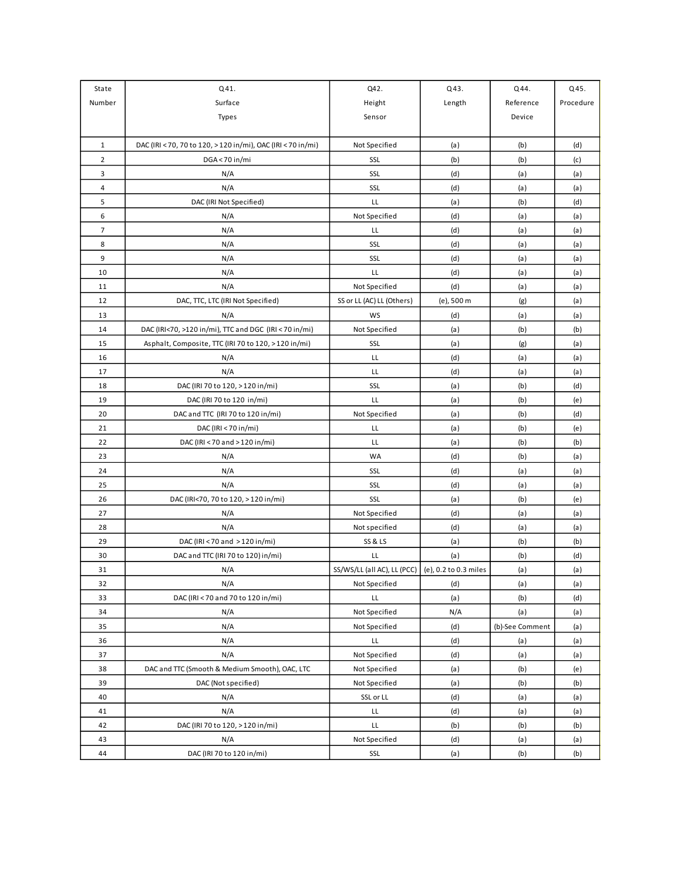| State                   | Q41.                                                         | Q42.                                                | Q43.       | Q44.            | Q45.      |
|-------------------------|--------------------------------------------------------------|-----------------------------------------------------|------------|-----------------|-----------|
| Number                  | Surface                                                      | Height                                              | Length     | Reference       | Procedure |
|                         | Types                                                        | Sensor                                              |            | Device          |           |
|                         |                                                              |                                                     |            |                 |           |
| $\mathbf{1}$            | DAC (IRI < 70, 70 to 120, > 120 in/mi), OAC (IRI < 70 in/mi) | Not Specified                                       | (a)        | (b)             | (d)       |
| $\overline{\mathbf{c}}$ | DGA<70 in/mi                                                 | SSL                                                 | (b)        | (b)             | (c)       |
| 3                       | N/A                                                          | SSL                                                 | (d)        | (a)             | (a)       |
| 4                       | N/A                                                          | SSL                                                 | (d)        | (a)             | (a)       |
| 5                       | DAC (IRI Not Specified)                                      | LL                                                  | (a)        | (b)             | (d)       |
| 6                       | N/A                                                          | Not Specified                                       | (d)        | (a)             | (a)       |
| $\overline{7}$          | N/A                                                          | LL                                                  | (d)        | (a)             | (a)       |
| 8                       | N/A                                                          | SSL                                                 | (d)        | (a)             | (a)       |
| 9                       | N/A                                                          | SSL                                                 | (d)        | (a)             | (a)       |
| 10                      | N/A                                                          | LL                                                  | (d)        | (a)             | (a)       |
| 11                      | N/A                                                          | Not Specified                                       | (d)        | (a)             | (a)       |
| 12                      | DAC, TTC, LTC (IRI Not Specified)                            | SS or LL (AC) LL (Others)                           | (e), 500 m | (g)             | (a)       |
| 13                      | N/A                                                          | WS                                                  | (d)        | (a)             | (a)       |
| 14                      | DAC (IRI<70, >120 in/mi), TTC and DGC (IRI < 70 in/mi)       | Not Specified                                       | (a)        | (b)             | (b)       |
| 15                      | Asphalt, Composite, TTC (IRI 70 to 120, > 120 in/mi)         | SSL                                                 | (a)        | (g)             | (a)       |
| 16                      | N/A                                                          | LL                                                  | (d)        | (a)             | (a)       |
| 17                      | N/A                                                          | LL                                                  | (d)        | (a)             | (a)       |
| 18                      | DAC (IRI 70 to 120, > 120 in/mi)                             | SSL                                                 | (a)        | (b)             | (d)       |
| 19                      | DAC (IRI 70 to 120 in/mi)                                    | LL                                                  | (a)        | (b)             | (e)       |
| 20                      | DAC and TTC (IRI 70 to 120 in/mi)                            | Not Specified                                       | (a)        | (b)             | (d)       |
| 21                      | DAC (IRI < 70 in/mi)                                         | LL                                                  | (a)        | (b)             | (e)       |
| 22                      | DAC (IRI < 70 and > 120 in/mi)                               | LL                                                  | (a)        | (b)             | (b)       |
| 23                      | N/A                                                          | WA                                                  | (d)        | (b)             | (a)       |
| 24                      | N/A                                                          | SSL                                                 | (d)        | (a)             | (a)       |
| 25                      | N/A                                                          | SSL                                                 | (d)        | (a)             | (a)       |
| 26                      | DAC (IRI<70, 70 to 120, > 120 in/mi)                         | SSL                                                 | (a)        | (b)             | (e)       |
| 27                      | N/A                                                          | Not Specified                                       | (d)        | (a)             | (a)       |
| 28                      | N/A                                                          | Not specified                                       | (d)        | (a)             | (a)       |
| 29                      | DAC (IRI < 70 and > 120 in/mi)                               | <b>SS &amp; LS</b>                                  | (a)        | (b)             | (b)       |
| 30                      | DAC and TTC (IRI 70 to 120) in/mi)                           | LL                                                  | (a)        | (b)             | (d)       |
| 31                      | N/A                                                          | SS/WS/LL (all AC), LL (PCC)   (e), 0.2 to 0.3 miles |            | (a)             | (a)       |
| 32                      | N/A                                                          | Not Specified                                       | (d)        | (a)             | (a)       |
| 33                      | DAC (IRI < 70 and 70 to 120 in/mi)                           | LL                                                  | (a)        | (b)             | (d)       |
| 34                      | N/A                                                          | Not Specified                                       | N/A        | (a)             | (a)       |
| 35                      | N/A                                                          | Not Specified                                       | (d)        | (b)-See Comment | (a)       |
| 36                      | N/A                                                          | LL.                                                 | (d)        | (a)             | (a)       |
| 37                      | N/A                                                          | Not Specified                                       | (d)        | (a)             | (a)       |
| 38                      | DAC and TTC (Smooth & Medium Smooth), OAC, LTC               | Not Specified                                       | (a)        | (b)             | (e)       |
| 39                      | DAC (Not specified)                                          | Not Specified                                       | (a)        | (b)             | (b)       |
| 40                      | N/A                                                          | SSL or LL                                           | (d)        | (a)             | (a)       |
| 41                      | N/A                                                          | LL                                                  | (d)        | (a)             | (a)       |
| 42                      | DAC (IRI 70 to 120, > 120 in/mi)                             | LL                                                  | (b)        | (b)             | (b)       |
| 43                      | N/A                                                          | Not Specified                                       | (d)        | (a)             | (a)       |
| 44                      | DAC (IRI 70 to 120 in/mi)                                    | SSL                                                 | (a)        | (b)             | (b)       |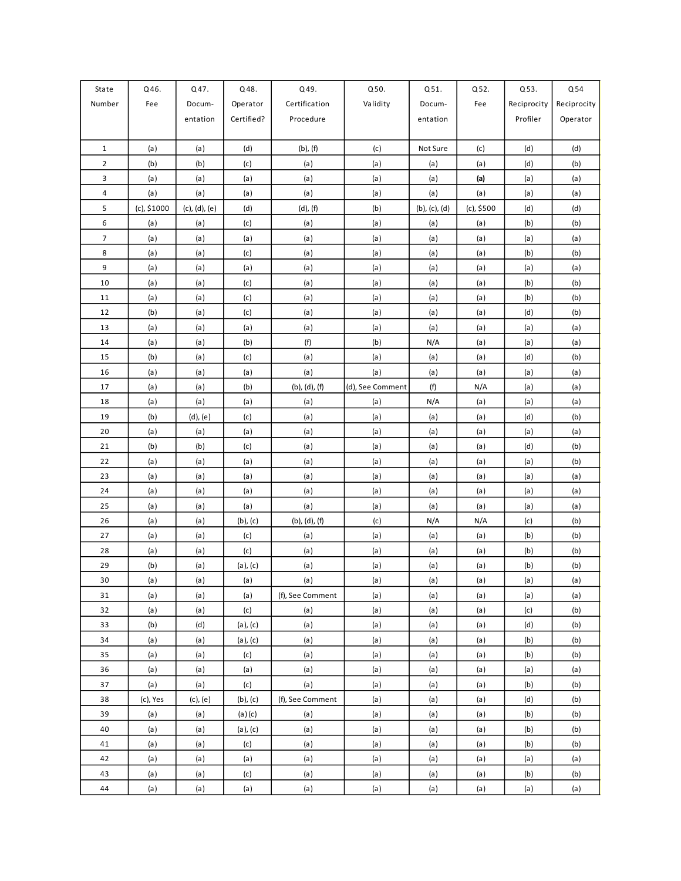| State          | Q46.        | Q47.          | Q48.          | Q49.             | Q50.             | Q51.                  | Q52.       | Q53.        | Q54         |
|----------------|-------------|---------------|---------------|------------------|------------------|-----------------------|------------|-------------|-------------|
| Number         | Fee         | Docum-        | Operator      | Certification    | Validity         | Docum-                | Fee        | Reciprocity | Reciprocity |
|                |             | entation      | Certified?    | Procedure        |                  | entation              |            | Profiler    | Operator    |
|                |             |               |               |                  |                  |                       |            |             |             |
| $\mathbf{1}$   | (a)         | (a)           | (d)           | $(b)$ , $(f)$    | (c)              | Not Sure              | (c)        | (d)         | (d)         |
| $\overline{2}$ | (b)         | (b)           | (c)           | (a)              | (a)              | (a)                   | (a)        | (d)         | (b)         |
| 3              | (a)         | (a)           | (a)           | (a)              | (a)              | (a)                   | (a)        | (a)         | (a)         |
| 4              | (a)         | (a)           | (a)           | (a)              | (a)              | (a)                   | (a)        | (a)         | (a)         |
| 5              | (c), \$1000 | (c), (d), (e) | (d)           | $(d)$ , $(f)$    | (b)              | $(b)$ , $(c)$ , $(d)$ | (c), \$500 | (d)         | (d)         |
| 6              | (a)         | (a)           | (c)           | (a)              | (a)              | (a)                   | (a)        | (b)         | (b)         |
| $\overline{7}$ | (a)         | (a)           | (a)           | (a)              | (a)              | (a)                   | (a)        | (a)         | (a)         |
| 8              | (a)         | (a)           | (c)           | (a)              | (a)              | (a)                   | (a)        | (b)         | (b)         |
| 9              | (a)         | (a)           | (a)           | (a)              | (a)              | (a)                   | (a)        | (a)         | (a)         |
| 10             | (a)         | (a)           | (c)           | (a)              | (a)              | (a)                   | (a)        | (b)         | (b)         |
| 11             | (a)         | (a)           | (c)           | (a)              | (a)              | (a)                   | (a)        | (b)         | (b)         |
| 12             | (b)         | (a)           | (c)           | (a)              | (a)              | (a)                   | (a)        | (d)         | (b)         |
| 13             | (a)         | (a)           | (a)           | (a)              | (a)              | (a)                   | (a)        | (a)         | (a)         |
| 14             | (a)         | (a)           | (b)           | (f)              | (b)              | N/A                   | (a)        | (a)         | (a)         |
| 15             | (b)         | (a)           | (c)           | (a)              | (a)              | (a)                   | (a)        | (d)         | (b)         |
| 16             | (a)         | (a)           | (a)           | (a)              | (a)              | (a)                   | (a)        | (a)         | (a)         |
| 17             | (a)         | (a)           | (b)           | (b), (d), (f)    | (d), See Comment | (f)                   | N/A        | (a)         | (a)         |
| 18             | (a)         | (a)           | (a)           | (a)              | (a)              | N/A                   | (a)        | (a)         | (a)         |
| 19             | (b)         | $(d)$ , $(e)$ | (c)           | (a)              | (a)              | (a)                   | (a)        | (d)         | (b)         |
| 20             | (a)         | (a)           | (a)           | (a)              | (a)              | (a)                   | (a)        | (a)         | (a)         |
| 21             | (b)         | (b)           | (c)           | (a)              | (a)              | (a)                   | (a)        | (d)         | (b)         |
| 22             | (a)         | (a)           | (a)           | (a)              | (a)              | (a)                   | (a)        | (a)         | (b)         |
| 23             | (a)         | (a)           | (a)           | (a)              | (a)              | (a)                   | (a)        | (a)         | (a)         |
| 24             | (a)         | (a)           | (a)           | (a)              | (a)              | (a)                   | (a)        | (a)         | (a)         |
| 25             | (a)         | (a)           | (a)           | (a)              | (a)              | (a)                   | (a)        | (a)         | (a)         |
| 26             | (a)         | (a)           | $(b)$ , $(c)$ | (b), (d), (f)    | (c)              | N/A                   | N/A        | (c)         | (b)         |
| 27             | (a)         | (a)           | (c)           | (a)              | (a)              | (a)                   | (a)        | (b)         | (b)         |
| 28             | (a)         | (a)           | (c)           | (a)              | (a)              | (a)                   | (a)        | (b)         | (b)         |
| 29             | (b)         | (a)           | (a), (c)      | (a)              | (a)              | (a)                   | (a)        | (b)         | (b)         |
| $30\,$         | (a)         | (a)           | (a)           | (a)              | (a)              | (a)                   | (a)        | (a)         | (a)         |
| 31             | (a)         | (a)           | (a)           | (f), See Comment | (a)              | (a)                   | (a)        | (a)         | (a)         |
| 32             | (a)         | (a)           | (c)           | (a)              | (a)              | (a)                   | (a)        | (c)         | (b)         |
| 33             | (b)         | (d)           | (a), (c)      | (a)              | (a)              | (a)                   | (a)        | (d)         | (b)         |
| 34             | (a)         | (a)           | (a), (c)      | (a)              | (a)              | (a)                   | (a)        | (b)         | (b)         |
| 35             | (a)         | (a)           | (c)           | (a)              | (a)              | (a)                   | (a)        | (b)         | (b)         |
| 36             | (a)         | (a)           | (a)           | (a)              | (a)              | (a)                   | (a)        | (a)         | (a)         |
| 37             | (a)         | (a)           | (c)           | (a)              | (a)              | (a)                   | (a)        | (b)         | (b)         |
| 38             | (c), Yes    | $(c)$ , $(e)$ | $(b)$ , $(c)$ | (f), See Comment | (a)              | (a)                   | (a)        | (d)         | (b)         |
| 39             | (a)         | (a)           | (a)(c)        | (a)              | (a)              | (a)                   | (a)        | (b)         | (b)         |
| 40             | (a)         | (a)           | $(a)$ , $(c)$ | (a)              | (a)              | (a)                   | (a)        | (b)         | (b)         |
| 41             | (a)         | (a)           | (c)           | (a)              | (a)              | (a)                   | (a)        | (b)         | (b)         |
| 42             | (a)         | (a)           | (a)           | (a)              | (a)              | (a)                   | (a)        | (a)         | (a)         |
| 43             | (a)         | (a)           | (c)           | (a)              | (a)              | (a)                   | (a)        | (b)         | (b)         |
| 44             | (a)         | (a)           | (a)           | (a)              | (a)              | (a)                   | (a)        | (a)         | (a)         |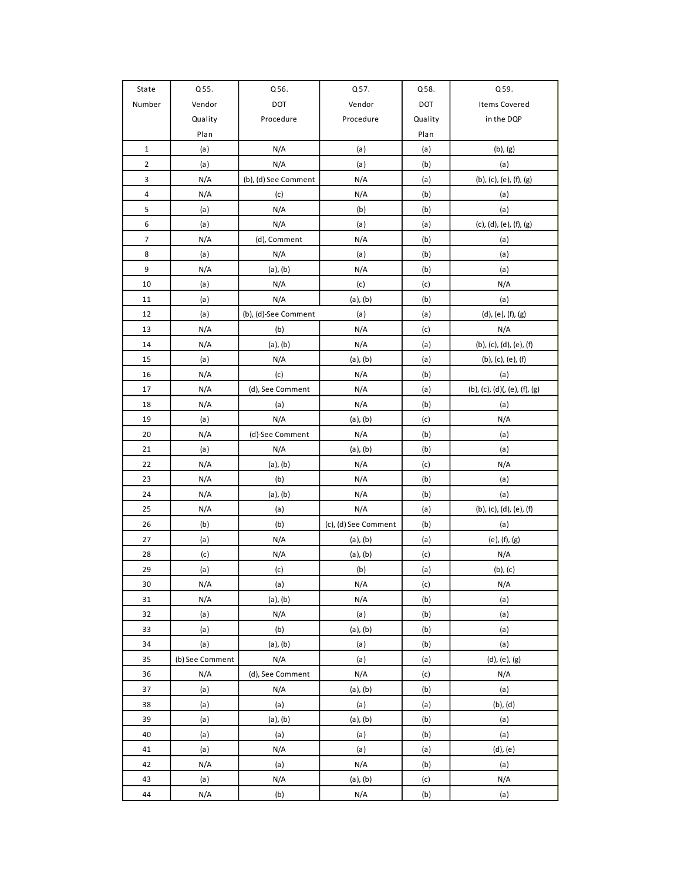| State          | Q55.            | Q56.                 | Q57.                 | Q58.    | Q59.                          |
|----------------|-----------------|----------------------|----------------------|---------|-------------------------------|
| Number         | Vendor          | DOT                  | Vendor               | DOT     | Items Covered                 |
|                | Quality         | Procedure            | Procedure            | Quality | in the DQP                    |
|                | Plan            |                      |                      | Plan    |                               |
| $\mathbf 1$    | (a)             | N/A                  | (a)                  | (a)     | $(b)$ , $(g)$                 |
| $\overline{2}$ | (a)             | N/A                  | (a)                  | (b)     | (a)                           |
| 3              | N/A             | (b), (d) See Comment | N/A                  | (a)     | (b), (c), (e), (f), (g)       |
| 4              | N/A             | (c)                  | N/A                  | (b)     | (a)                           |
| 5              | (a)             | N/A                  | (b)                  | (b)     | (a)                           |
| 6              | (a)             | N/A                  | (a)                  | (a)     | (c), (d), (e), (f), (g)       |
| $\overline{7}$ | N/A             | (d), Comment         | N/A                  | (b)     | (a)                           |
| 8              | (a)             | N/A                  | (a)                  | (b)     | (a)                           |
| 9              | N/A             | $(a)$ , $(b)$        | N/A                  | (b)     | (a)                           |
| 10             | (a)             | N/A                  | (c)                  | (c)     | N/A                           |
| 11             | (a)             | N/A                  | $(a)$ , $(b)$        | (b)     | (a)                           |
| 12             | (a)             | (b), (d)-See Comment | (a)                  | (a)     | (d), (e), (f), (g)            |
| 13             | N/A             | (b)                  | N/A                  | (c)     | N/A                           |
| 14             | N/A             | $(a)$ , $(b)$        | N/A                  | (a)     | (b), (c), (d), (e), (f)       |
| 15             | (a)             | N/A                  | $(a)$ , $(b)$        | (a)     | (b), (c), (e), (f)            |
| 16             | N/A             | (c)                  | N/A                  | (b)     | (a)                           |
| 17             | N/A             | (d), See Comment     | N/A                  | (a)     | (b), (c), (d)(, (e), (f), (g) |
| 18             | N/A             | (a)                  | N/A                  | (b)     | (a)                           |
| 19             | (a)             | N/A                  | $(a)$ , $(b)$        | (c)     | N/A                           |
| 20             | N/A             | (d)-See Comment      | N/A                  | (b)     | (a)                           |
| 21             | (a)             | N/A                  | $(a)$ , $(b)$        | (b)     | (a)                           |
| 22             | N/A             | $(a)$ , $(b)$        | N/A                  | (c)     | N/A                           |
| 23             | N/A             | (b)                  | N/A                  | (b)     | (a)                           |
| 24             | N/A             | $(a)$ , $(b)$        | N/A                  | (b)     | (a)                           |
| 25             | N/A             | (a)                  | N/A                  | (a)     | (b), (c), (d), (e), (f)       |
| 26             | (b)             | (b)                  | (c), (d) See Comment | (b)     | (a)                           |
| 27             | (a)             | N/A                  | $(a)$ , $(b)$        | (a)     | (e), (f), (g)                 |
| 28             | (c)             | N/A                  | $(a)$ , $(b)$        | (c)     | N/A                           |
| 29             | (a)             | (c)                  | (b)                  | (a)     | $(b)$ , $(c)$                 |
| 30             | N/A             | (a)                  | N/A                  | (c)     | N/A                           |
| 31             | N/A             | $(a)$ , $(b)$        | N/A                  | (b)     | (a)                           |
| 32             | (a)             | N/A                  | (a)                  | (b)     | (a)                           |
| 33             | (a)             | (b)                  | $(a)$ , $(b)$        | (b)     | (a)                           |
| 34             | (a)             | $(a)$ , $(b)$        | (a)                  | (b)     | (a)                           |
| 35             | (b) See Comment | N/A                  | (a)                  | (a)     | $(d)$ , $(e)$ , $(g)$         |
| 36             | N/A             | (d), See Comment     | N/A                  | (c)     | N/A                           |
| 37             | (a)             | N/A                  | $(a)$ , $(b)$        | (b)     | (a)                           |
| 38             | (a)             | (a)                  | (a)                  | (a)     | $(b)$ , $(d)$                 |
| 39             | (a)             | $(a)$ , $(b)$        | $(a)$ , $(b)$        | (b)     | (a)                           |
| 40             | (a)             | (a)                  | (a)                  | (b)     | (a)                           |
| 41             | (a)             | N/A                  | (a)                  | (a)     | $(d)$ , $(e)$                 |
| 42             | N/A             | (a)                  | N/A                  | (b)     | (a)                           |
| 43             | (a)             | N/A                  | $(a)$ , $(b)$        | (c)     | N/A                           |
| 44             | N/A             | (b)                  | N/A                  | (b)     | (a)                           |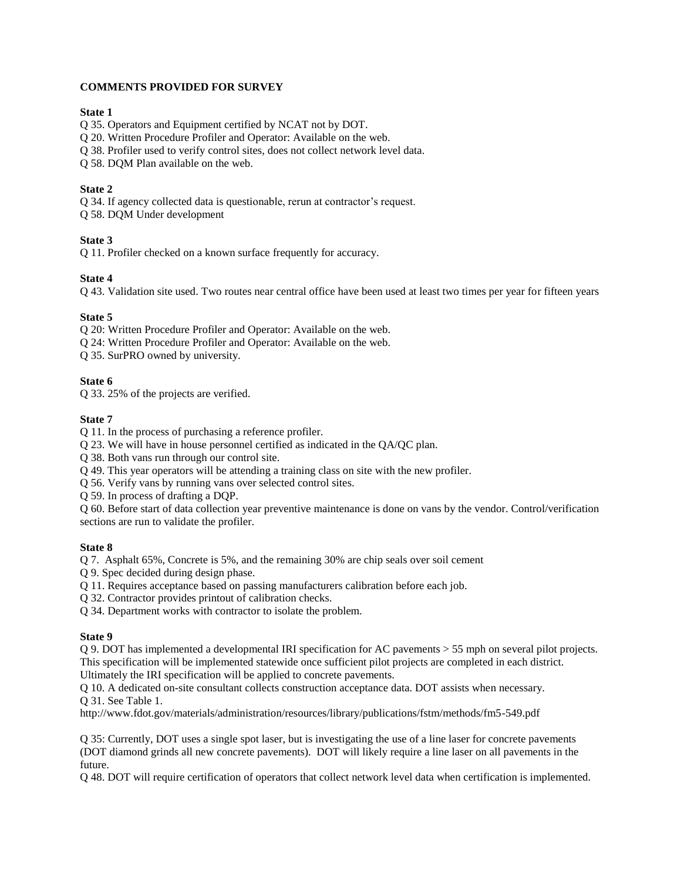## **COMMENTS PROVIDED FOR SURVEY**

#### **State 1**

Q 35. Operators and Equipment certified by NCAT not by DOT.

Q 20. Written Procedure Profiler and Operator: Available on the web.

Q 38. Profiler used to verify control sites, does not collect network level data.

Q 58. DQM Plan available on the web.

#### **State 2**

Q 34. If agency collected data is questionable, rerun at contractor's request.

Q 58. DQM Under development

## **State 3**

Q 11. Profiler checked on a known surface frequently for accuracy.

## **State 4**

Q 43. Validation site used. Two routes near central office have been used at least two times per year for fifteen years

## **State 5**

Q 20: Written Procedure Profiler and Operator: Available on the web.

Q 24: Written Procedure Profiler and Operator: Available on the web.

Q 35. SurPRO owned by university.

## **State 6**

Q 33. 25% of the projects are verified.

## **State 7**

Q 11. In the process of purchasing a reference profiler.

Q 23. We will have in house personnel certified as indicated in the QA/QC plan.

Q 38. Both vans run through our control site.

Q 49. This year operators will be attending a training class on site with the new profiler.

Q 56. Verify vans by running vans over selected control sites.

Q 59. In process of drafting a DQP.

Q 60. Before start of data collection year preventive maintenance is done on vans by the vendor. Control/verification sections are run to validate the profiler.

## **State 8**

Q 7. Asphalt 65%, Concrete is 5%, and the remaining 30% are chip seals over soil cement

Q 9. Spec decided during design phase.

Q 11. Requires acceptance based on passing manufacturers calibration before each job.

Q 32. Contractor provides printout of calibration checks.

Q 34. Department works with contractor to isolate the problem.

## **State 9**

Q 9. DOT has implemented a developmental IRI specification for AC pavements > 55 mph on several pilot projects. This specification will be implemented statewide once sufficient pilot projects are completed in each district. Ultimately the IRI specification will be applied to concrete pavements.

Q 10. A dedicated on-site consultant collects construction acceptance data. DOT assists when necessary. Q 31. See Table 1.

http://www.fdot.gov/materials/administration/resources/library/publications/fstm/methods/fm5-549.pdf

Q 35: Currently, DOT uses a single spot laser, but is investigating the use of a line laser for concrete pavements (DOT diamond grinds all new concrete pavements). DOT will likely require a line laser on all pavements in the future.

Q 48. DOT will require certification of operators that collect network level data when certification is implemented.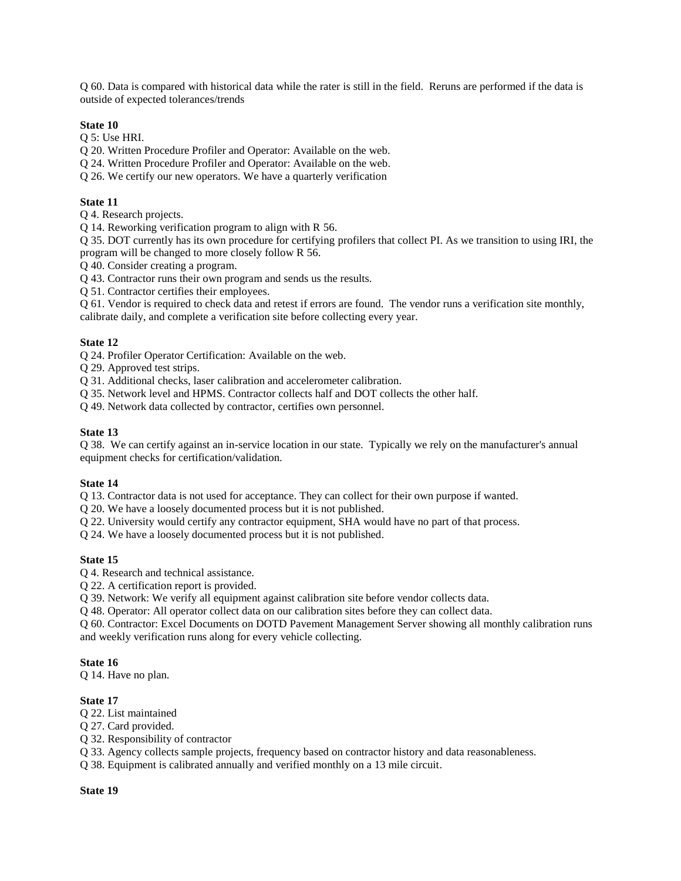Q 60. Data is compared with historical data while the rater is still in the field. Reruns are performed if the data is outside of expected tolerances/trends

#### **State 10**

Q 5: Use HRI.

Q 20. Written Procedure Profiler and Operator: Available on the web.

Q 24. Written Procedure Profiler and Operator: Available on the web.

Q 26. We certify our new operators. We have a quarterly verification

#### **State 11**

Q 4. Research projects.

Q 14. Reworking verification program to align with R 56.

Q 35. DOT currently has its own procedure for certifying profilers that collect PI. As we transition to using IRI, the program will be changed to more closely follow R 56.

Q 40. Consider creating a program.

Q 43. Contractor runs their own program and sends us the results.

Q 51. Contractor certifies their employees.

Q 61. Vendor is required to check data and retest if errors are found. The vendor runs a verification site monthly, calibrate daily, and complete a verification site before collecting every year.

#### **State 12**

Q 24. Profiler Operator Certification: Available on the web.

Q 29. Approved test strips.

Q 31. Additional checks, laser calibration and accelerometer calibration.

Q 35. Network level and HPMS. Contractor collects half and DOT collects the other half.

Q 49. Network data collected by contractor, certifies own personnel.

#### **State 13**

Q 38. We can certify against an in-service location in our state. Typically we rely on the manufacturer's annual equipment checks for certification/validation.

#### **State 14**

Q 13. Contractor data is not used for acceptance. They can collect for their own purpose if wanted.

Q 20. We have a loosely documented process but it is not published.

Q 22. University would certify any contractor equipment, SHA would have no part of that process.

Q 24. We have a loosely documented process but it is not published.

#### **State 15**

Q 4. Research and technical assistance.

Q 22. A certification report is provided.

Q 39. Network: We verify all equipment against calibration site before vendor collects data.

Q 48. Operator: All operator collect data on our calibration sites before they can collect data.

Q 60. Contractor: Excel Documents on DOTD Pavement Management Server showing all monthly calibration runs and weekly verification runs along for every vehicle collecting.

#### **State 16**

Q 14. Have no plan.

#### **State 17**

Q 22. List maintained

Q 27. Card provided.

Q 32. Responsibility of contractor

Q 33. Agency collects sample projects, frequency based on contractor history and data reasonableness.

Q 38. Equipment is calibrated annually and verified monthly on a 13 mile circuit.

#### **State 19**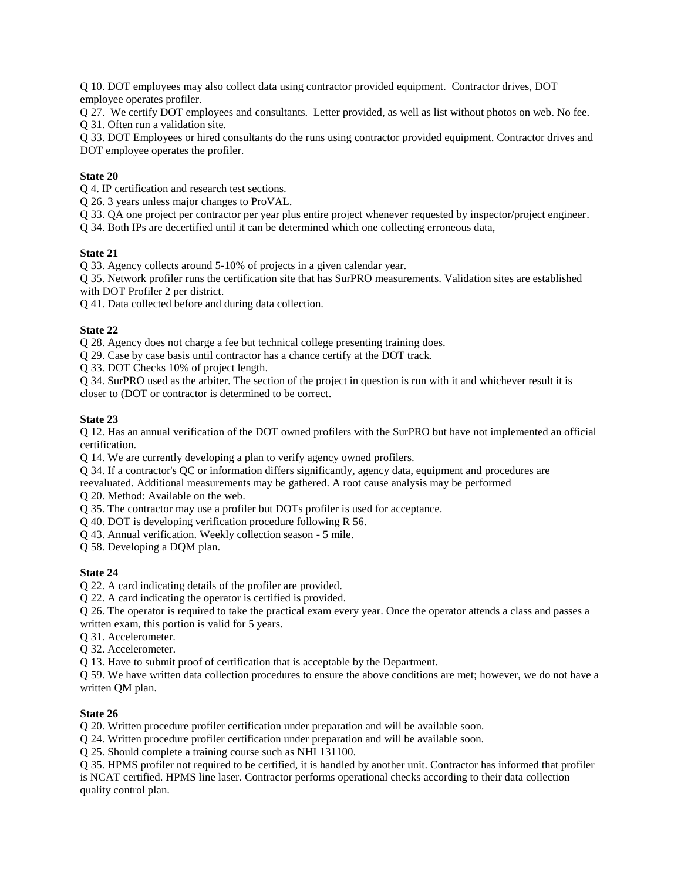Q 10. DOT employees may also collect data using contractor provided equipment. Contractor drives, DOT employee operates profiler.

Q 27. We certify DOT employees and consultants. Letter provided, as well as list without photos on web. No fee. Q 31. Often run a validation site.

Q 33. DOT Employees or hired consultants do the runs using contractor provided equipment. Contractor drives and DOT employee operates the profiler.

# **State 20**

Q 4. IP certification and research test sections.

Q 26. 3 years unless major changes to ProVAL.

Q 33. QA one project per contractor per year plus entire project whenever requested by inspector/project engineer.

Q 34. Both IPs are decertified until it can be determined which one collecting erroneous data,

## **State 21**

Q 33. Agency collects around 5-10% of projects in a given calendar year.

Q 35. Network profiler runs the certification site that has SurPRO measurements. Validation sites are established with DOT Profiler 2 per district.

Q 41. Data collected before and during data collection.

# **State 22**

Q 28. Agency does not charge a fee but technical college presenting training does.

Q 29. Case by case basis until contractor has a chance certify at the DOT track.

Q 33. DOT Checks 10% of project length.

Q 34. SurPRO used as the arbiter. The section of the project in question is run with it and whichever result it is closer to (DOT or contractor is determined to be correct.

# **State 23**

Q 12. Has an annual verification of the DOT owned profilers with the SurPRO but have not implemented an official certification.

Q 14. We are currently developing a plan to verify agency owned profilers.

Q 34. If a contractor's QC or information differs significantly, agency data, equipment and procedures are reevaluated. Additional measurements may be gathered. A root cause analysis may be performed

Q 20. Method: Available on the web.

Q 35. The contractor may use a profiler but DOTs profiler is used for acceptance.

Q 40. DOT is developing verification procedure following R 56.

Q 43. Annual verification. Weekly collection season - 5 mile.

Q 58. Developing a DQM plan.

## **State 24**

Q 22. A card indicating details of the profiler are provided.

Q 22. A card indicating the operator is certified is provided.

Q 26. The operator is required to take the practical exam every year. Once the operator attends a class and passes a written exam, this portion is valid for 5 years.

Q 31. Accelerometer.

Q 32. Accelerometer.

Q 13. Have to submit proof of certification that is acceptable by the Department.

Q 59. We have written data collection procedures to ensure the above conditions are met; however, we do not have a written QM plan.

## **State 26**

Q 20. Written procedure profiler certification under preparation and will be available soon.

Q 24. Written procedure profiler certification under preparation and will be available soon.

Q 25. Should complete a training course such as NHI 131100.

Q 35. HPMS profiler not required to be certified, it is handled by another unit. Contractor has informed that profiler is NCAT certified. HPMS line laser. Contractor performs operational checks according to their data collection quality control plan.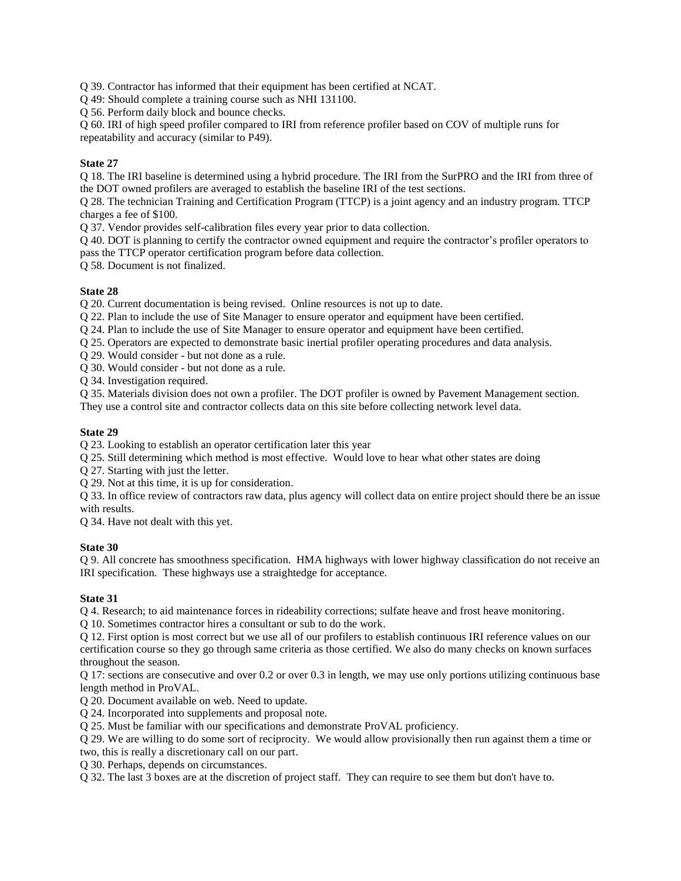Q 39. Contractor has informed that their equipment has been certified at NCAT.

Q 49: Should complete a training course such as NHI 131100.

Q 56. Perform daily block and bounce checks.

Q 60. IRI of high speed profiler compared to IRI from reference profiler based on COV of multiple runs for repeatability and accuracy (similar to P49).

## **State 27**

Q 18. The IRI baseline is determined using a hybrid procedure. The IRI from the SurPRO and the IRI from three of the DOT owned profilers are averaged to establish the baseline IRI of the test sections.

Q 28. The technician Training and Certification Program (TTCP) is a joint agency and an industry program. TTCP charges a fee of \$100.

Q 37. Vendor provides self-calibration files every year prior to data collection.

Q 40. DOT is planning to certify the contractor owned equipment and require the contractor's profiler operators to pass the TTCP operator certification program before data collection.

Q 58. Document is not finalized.

## **State 28**

Q 20. Current documentation is being revised. Online resources is not up to date.

Q 22. Plan to include the use of Site Manager to ensure operator and equipment have been certified.

Q 24. Plan to include the use of Site Manager to ensure operator and equipment have been certified.

Q 25. Operators are expected to demonstrate basic inertial profiler operating procedures and data analysis.

Q 29. Would consider - but not done as a rule.

Q 30. Would consider - but not done as a rule.

Q 34. Investigation required.

Q 35. Materials division does not own a profiler. The DOT profiler is owned by Pavement Management section.

They use a control site and contractor collects data on this site before collecting network level data.

## **State 29**

Q 23. Looking to establish an operator certification later this year

Q 25. Still determining which method is most effective. Would love to hear what other states are doing

Q 27. Starting with just the letter.

Q 29. Not at this time, it is up for consideration.

Q 33. In office review of contractors raw data, plus agency will collect data on entire project should there be an issue with results.

Q 34. Have not dealt with this yet.

## **State 30**

Q 9. All concrete has smoothness specification. HMA highways with lower highway classification do not receive an IRI specification. These highways use a straightedge for acceptance.

## **State 31**

Q 4. Research; to aid maintenance forces in rideability corrections; sulfate heave and frost heave monitoring.

Q 10. Sometimes contractor hires a consultant or sub to do the work.

Q 12. First option is most correct but we use all of our profilers to establish continuous IRI reference values on our certification course so they go through same criteria as those certified. We also do many checks on known surfaces throughout the season.

Q 17: sections are consecutive and over 0.2 or over 0.3 in length, we may use only portions utilizing continuous base length method in ProVAL.

Q 20. Document available on web. Need to update.

Q 24. Incorporated into supplements and proposal note.

Q 25. Must be familiar with our specifications and demonstrate ProVAL proficiency.

Q 29. We are willing to do some sort of reciprocity. We would allow provisionally then run against them a time or two, this is really a discretionary call on our part.

Q 30. Perhaps, depends on circumstances.

Q 32. The last 3 boxes are at the discretion of project staff. They can require to see them but don't have to.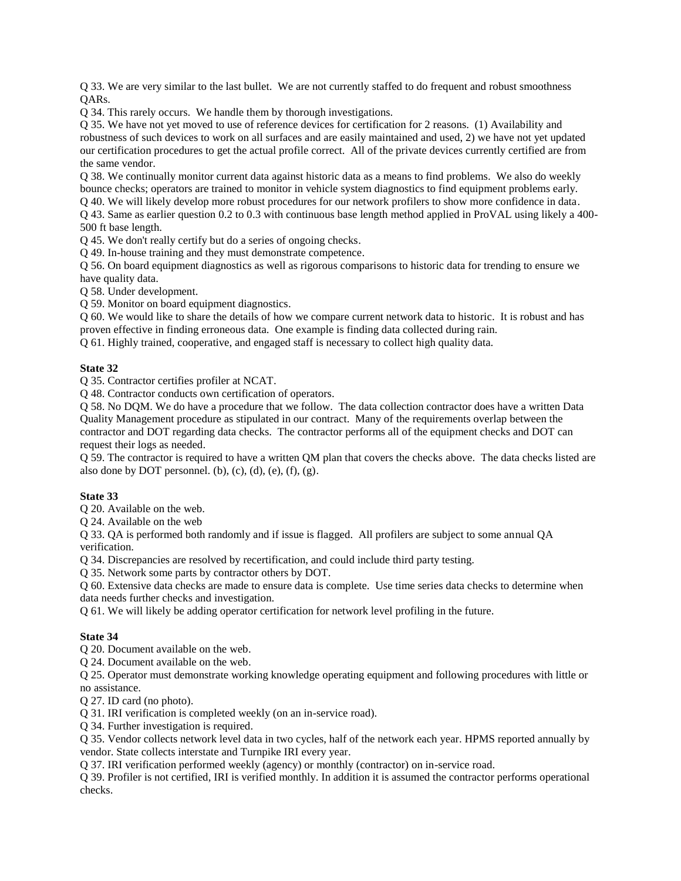Q 33. We are very similar to the last bullet. We are not currently staffed to do frequent and robust smoothness QARs.

Q 34. This rarely occurs. We handle them by thorough investigations.

Q 35. We have not yet moved to use of reference devices for certification for 2 reasons. (1) Availability and robustness of such devices to work on all surfaces and are easily maintained and used, 2) we have not yet updated our certification procedures to get the actual profile correct. All of the private devices currently certified are from the same vendor.

Q 38. We continually monitor current data against historic data as a means to find problems. We also do weekly bounce checks; operators are trained to monitor in vehicle system diagnostics to find equipment problems early. Q 40. We will likely develop more robust procedures for our network profilers to show more confidence in data.

Q 43. Same as earlier question 0.2 to 0.3 with continuous base length method applied in ProVAL using likely a 400- 500 ft base length.

Q 45. We don't really certify but do a series of ongoing checks.

Q 49. In-house training and they must demonstrate competence.

Q 56. On board equipment diagnostics as well as rigorous comparisons to historic data for trending to ensure we have quality data.

Q 58. Under development.

Q 59. Monitor on board equipment diagnostics.

Q 60. We would like to share the details of how we compare current network data to historic. It is robust and has proven effective in finding erroneous data. One example is finding data collected during rain.

Q 61. Highly trained, cooperative, and engaged staff is necessary to collect high quality data.

#### **State 32**

Q 35. Contractor certifies profiler at NCAT.

Q 48. Contractor conducts own certification of operators.

Q 58. No DQM. We do have a procedure that we follow. The data collection contractor does have a written Data Quality Management procedure as stipulated in our contract. Many of the requirements overlap between the contractor and DOT regarding data checks. The contractor performs all of the equipment checks and DOT can request their logs as needed.

Q 59. The contractor is required to have a written QM plan that covers the checks above. The data checks listed are also done by DOT personnel. (b),  $(c)$ ,  $(d)$ ,  $(e)$ ,  $(f)$ ,  $(g)$ .

## **State 33**

Q 20. Available on the web.

Q 24. Available on the web

Q 33. QA is performed both randomly and if issue is flagged. All profilers are subject to some annual QA verification.

Q 34. Discrepancies are resolved by recertification, and could include third party testing.

Q 35. Network some parts by contractor others by DOT.

Q 60. Extensive data checks are made to ensure data is complete. Use time series data checks to determine when data needs further checks and investigation.

Q 61. We will likely be adding operator certification for network level profiling in the future.

## **State 34**

Q 20. Document available on the web.

Q 24. Document available on the web.

Q 25. Operator must demonstrate working knowledge operating equipment and following procedures with little or no assistance.

Q 27. ID card (no photo).

Q 31. IRI verification is completed weekly (on an in-service road).

Q 34. Further investigation is required.

Q 35. Vendor collects network level data in two cycles, half of the network each year. HPMS reported annually by vendor. State collects interstate and Turnpike IRI every year.

Q 37. IRI verification performed weekly (agency) or monthly (contractor) on in-service road.

Q 39. Profiler is not certified, IRI is verified monthly. In addition it is assumed the contractor performs operational checks.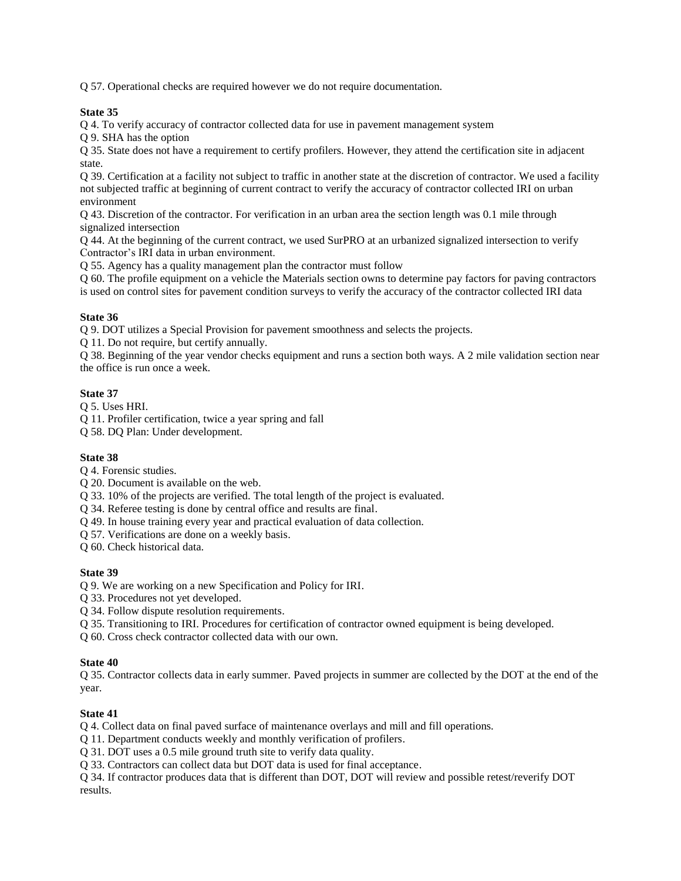Q 57. Operational checks are required however we do not require documentation.

## **State 35**

Q 4. To verify accuracy of contractor collected data for use in pavement management system

Q 9. SHA has the option

Q 35. State does not have a requirement to certify profilers. However, they attend the certification site in adjacent state.

Q 39. Certification at a facility not subject to traffic in another state at the discretion of contractor. We used a facility not subjected traffic at beginning of current contract to verify the accuracy of contractor collected IRI on urban environment

Q 43. Discretion of the contractor. For verification in an urban area the section length was 0.1 mile through signalized intersection

Q 44. At the beginning of the current contract, we used SurPRO at an urbanized signalized intersection to verify Contractor's IRI data in urban environment.

Q 55. Agency has a quality management plan the contractor must follow

Q 60. The profile equipment on a vehicle the Materials section owns to determine pay factors for paving contractors is used on control sites for pavement condition surveys to verify the accuracy of the contractor collected IRI data

# **State 36**

Q 9. DOT utilizes a Special Provision for pavement smoothness and selects the projects.

Q 11. Do not require, but certify annually.

Q 38. Beginning of the year vendor checks equipment and runs a section both ways. A 2 mile validation section near the office is run once a week.

# **State 37**

Q 5. Uses HRI.

Q 11. Profiler certification, twice a year spring and fall

Q 58. DQ Plan: Under development.

## **State 38**

Q 4. Forensic studies.

Q 20. Document is available on the web.

Q 33. 10% of the projects are verified. The total length of the project is evaluated.

Q 34. Referee testing is done by central office and results are final.

Q 49. In house training every year and practical evaluation of data collection.

Q 57. Verifications are done on a weekly basis.

Q 60. Check historical data.

## **State 39**

Q 9. We are working on a new Specification and Policy for IRI.

Q 33. Procedures not yet developed.

Q 34. Follow dispute resolution requirements.

Q 35. Transitioning to IRI. Procedures for certification of contractor owned equipment is being developed.

Q 60. Cross check contractor collected data with our own.

## **State 40**

Q 35. Contractor collects data in early summer. Paved projects in summer are collected by the DOT at the end of the year.

## **State 41**

Q 4. Collect data on final paved surface of maintenance overlays and mill and fill operations.

Q 11. Department conducts weekly and monthly verification of profilers.

Q 31. DOT uses a 0.5 mile ground truth site to verify data quality.

Q 33. Contractors can collect data but DOT data is used for final acceptance.

Q 34. If contractor produces data that is different than DOT, DOT will review and possible retest/reverify DOT results.